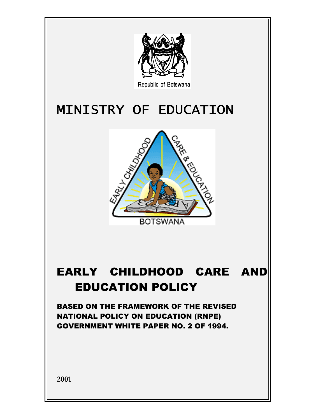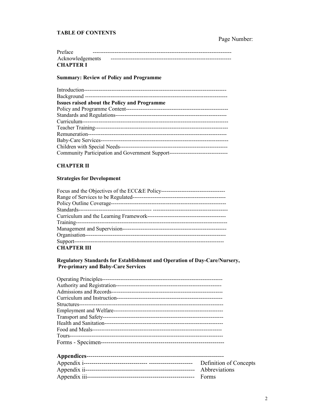## **TABLE OF CONTENTS**

# Page Number:

| Preface          |  |
|------------------|--|
| Acknowledgements |  |
| <b>CHAPTER I</b> |  |

#### **Summary: Review of Policy and Programme**

| <b>Issues raised about the Policy and Programme</b>                              |
|----------------------------------------------------------------------------------|
| Policy and Programme Content--                                                   |
|                                                                                  |
|                                                                                  |
|                                                                                  |
|                                                                                  |
| Baby-Care Services-                                                              |
|                                                                                  |
| Community Participation and Government Support---------------------------------- |

## **CHAPTER II**

### **Strategies for Development**

| <b>CHAPTER III</b> |
|--------------------|

## Regulatory Standards for Establishment and Operation of Day-Care/Nursery, Pre-primary and Baby-Care Services

| Definition of Concepts |
|------------------------|
| Abbreviations          |
| Forms                  |
|                        |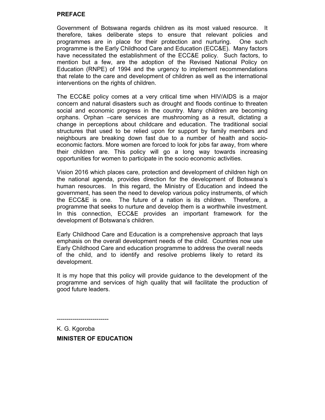### PREFACE

Government of Botswana regards children as its most valued resource. It therefore, takes deliberate steps to ensure that relevant policies and programmes are in place for their protection and nurturing. One such programme is the Early Childhood Care and Education (ECC&E). Many factors have necessitated the establishment of the ECC&E policy. Such factors, to mention but a few, are the adoption of the Revised National Policy on Education (RNPE) of 1994 and the urgency to implement recommendations that relate to the care and development of children as well as the international interventions on the rights of children.

The ECC&E policy comes at a very critical time when HIV/AIDS is a major concern and natural disasters such as drought and floods continue to threaten social and economic progress in the country. Many children are becoming orphans. Orphan –care services are mushrooming as a result, dictating a change in perceptions about childcare and education. The traditional social structures that used to be relied upon for support by family members and neighbours are breaking down fast due to a number of health and socioeconomic factors. More women are forced to look for jobs far away, from where their children are. This policy will go a long way towards increasing opportunities for women to participate in the socio economic activities.

Vision 2016 which places care, protection and development of children high on the national agenda, provides direction for the development of Botswana's human resources. In this regard, the Ministry of Education and indeed the government, has seen the need to develop various policy instruments, of which the ECC&E is one. The future of a nation is its children. Therefore, a programme that seeks to nurture and develop them is a worthwhile investment. In this connection, ECC&E provides an important framework for the development of Botswana's children.

Early Childhood Care and Education is a comprehensive approach that lays emphasis on the overall development needs of the child. Countries now use Early Childhood Care and education programme to address the overall needs of the child, and to identify and resolve problems likely to retard its development.

It is my hope that this policy will provide guidance to the development of the programme and services of high quality that will facilitate the production of good future leaders.

--------------------------

K. G. Kgoroba MINISTER OF EDUCATION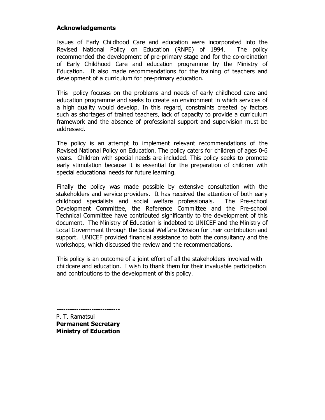# Acknowledgements

Issues of Early Childhood Care and education were incorporated into the Revised National Policy on Education (RNPE) of 1994. The policy recommended the development of pre-primary stage and for the co-ordination of Early Childhood Care and education programme by the Ministry of Education. It also made recommendations for the training of teachers and development of a curriculum for pre-primary education.

This policy focuses on the problems and needs of early childhood care and education programme and seeks to create an environment in which services of a high quality would develop. In this regard, constraints created by factors such as shortages of trained teachers, lack of capacity to provide a curriculum framework and the absence of professional support and supervision must be addressed.

The policy is an attempt to implement relevant recommendations of the Revised National Policy on Education. The policy caters for children of ages 0-6 years. Children with special needs are included. This policy seeks to promote early stimulation because it is essential for the preparation of children with special educational needs for future learning.

Finally the policy was made possible by extensive consultation with the stakeholders and service providers. It has received the attention of both early childhood specialists and social welfare professionals. The Pre-school Development Committee, the Reference Committee and the Pre-school Technical Committee have contributed significantly to the development of this document. The Ministry of Education is indebted to UNICEF and the Ministry of Local Government through the Social Welfare Division for their contribution and support. UNICEF provided financial assistance to both the consultancy and the workshops, which discussed the review and the recommendations.

This policy is an outcome of a joint effort of all the stakeholders involved with childcare and education. I wish to thank them for their invaluable participation and contributions to the development of this policy.

----------------------------- P. T. Ramatsui Permanent Secretary Ministry of Education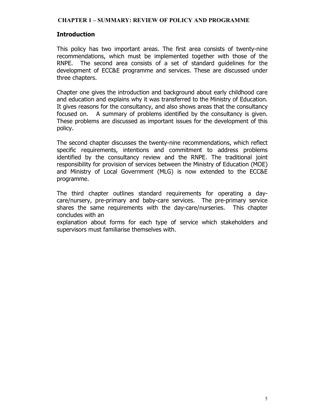### CHAPTER 1 – SUMMARY: REVIEW OF POLICY AND PROGRAMME

## Introduction

This policy has two important areas. The first area consists of twenty-nine recommendations, which must be implemented together with those of the RNPE. The second area consists of a set of standard guidelines for the development of ECC&E programme and services. These are discussed under three chapters.

Chapter one gives the introduction and background about early childhood care and education and explains why it was transferred to the Ministry of Education. It gives reasons for the consultancy, and also shows areas that the consultancy focused on. A summary of problems identified by the consultancy is given. These problems are discussed as important issues for the development of this policy.

The second chapter discusses the twenty-nine recommendations, which reflect specific requirements, intentions and commitment to address problems identified by the consultancy review and the RNPE. The traditional joint responsibility for provision of services between the Ministry of Education (MOE) and Ministry of Local Government (MLG) is now extended to the ECC&E programme.

The third chapter outlines standard requirements for operating a daycare/nursery, pre-primary and baby-care services. The pre-primary service shares the same requirements with the day-care/nurseries. This chapter concludes with an

explanation about forms for each type of service which stakeholders and supervisors must familiarise themselves with.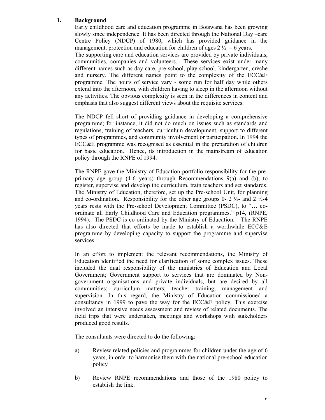## 1. Background

Early childhood care and education programme in Botswana has been growing slowly since independence. It has been directed through the National Day –care Centre Policy (NDCP) of 1980, which has provided guidance in the management, protection and education for children of ages  $2\frac{1}{2}$  – 6 years.

The supporting care and education services are provided by private individuals, communities, companies and volunteers. These services exist under many different names such as day care, pre-school, play school, kindergarten, crèche and nursery. The different names point to the complexity of the ECC&E programme. The hours of service vary - some run for half day while others extend into the afternoon, with children having to sleep in the afternoon without any activities. The obvious complexity is seen in the differences in content and emphasis that also suggest different views about the requisite services.

The NDCP fell short of providing guidance in developing a comprehensive programme; for instance, it did not do much on issues such as standards and regulations, training of teachers, curriculum development, support to different types of programmes, and community involvement or participation. In 1994 the ECC&E programme was recognised as essential in the preparation of children for basic education. Hence, its introduction in the mainstream of education policy through the RNPE of 1994.

The RNPE gave the Ministry of Education portfolio responsibility for the preprimary age group  $(4-6 \text{ years})$  through Recommendations  $9(a)$  and  $(b)$ , to register, supervise and develop the curriculum, train teachers and set standards. The Ministry of Education, therefore, set up the Pre-school Unit, for planning and co-ordination. Responsibility for the other age groups 0- 2  $\frac{1}{2}$ - and 2  $\frac{1}{2}$ -4 years rests with the Pre-school Development Committee (PSDC), to "… coordinate all Early Childhood Care and Education programmes." p14, (RNPE, 1994). The PSDC is co-ordinated by the Ministry of Education. The RNPE has also directed that efforts be made to establish a worthwhile ECC&E programme by developing capacity to support the programme and supervise services.

In an effort to implement the relevant recommendations, the Ministry of Education identified the need for clarification of some complex issues. These included the dual responsibility of the ministries of Education and Local Government; Government support to services that are dominated by Nongovernment organisations and private individuals, but are desired by all communities; curriculum matters; teacher training; management and supervision. In this regard, the Ministry of Education commissioned a consultancy in 1999 to pave the way for the ECC&E policy. This exercise involved an intensive needs assessment and review of related documents. The field trips that were undertaken, meetings and workshops with stakeholders produced good results.

The consultants were directed to do the following:

- a) Review related policies and programmes for children under the age of 6 years, in order to harmonise them with the national pre-school education policy
- b) Review RNPE recommendations and those of the 1980 policy to establish the link.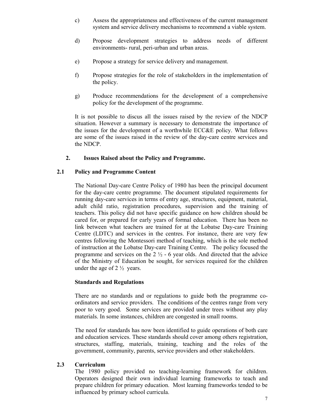- c) Assess the appropriateness and effectiveness of the current management system and service delivery mechanisms to recommend a viable system.
- d) Propose development strategies to address needs of different environments- rural, peri-urban and urban areas.
- e) Propose a strategy for service delivery and management.
- f) Propose strategies for the role of stakeholders in the implementation of the policy.
- g) Produce recommendations for the development of a comprehensive policy for the development of the programme.

It is not possible to discus all the issues raised by the review of the NDCP situation. However a summary is necessary to demonstrate the importance of the issues for the development of a worthwhile ECC&E policy. What follows are some of the issues raised in the review of the day-care centre services and the NDCP.

### 2. Issues Raised about the Policy and Programme.

### 2.1 Policy and Programme Content

The National Day-care Centre Policy of 1980 has been the principal document for the day-care centre programme. The document stipulated requirements for running day-care services in terms of entry age, structures, equipment, material, adult child ratio, registration procedures, supervision and the training of teachers. This policy did not have specific guidance on how children should be cared for, or prepared for early years of formal education. There has been no link between what teachers are trained for at the Lobatse Day-care Training Centre (LDTC) and services in the centres. For instance, there are very few centres following the Montessori method of teaching, which is the sole method of instruction at the Lobatse Day-care Training Centre. The policy focused the programme and services on the  $2\frac{1}{2}$  - 6 year olds. And directed that the advice of the Ministry of Education be sought, for services required for the children under the age of  $2\frac{1}{2}$  years.

### Standards and Regulations

There are no standards and or regulations to guide both the programme coordinators and service providers. The conditions of the centres range from very poor to very good. Some services are provided under trees without any play materials. In some instances, children are congested in small rooms.

The need for standards has now been identified to guide operations of both care and education services. These standards should cover among others registration, structures, staffing, materials, training, teaching and the roles of the government, community, parents, service providers and other stakeholders.

### 2.3 Curriculum

The 1980 policy provided no teaching-learning framework for children. Operators designed their own individual learning frameworks to teach and prepare children for primary education. Most learning frameworks tended to be influenced by primary school curricula.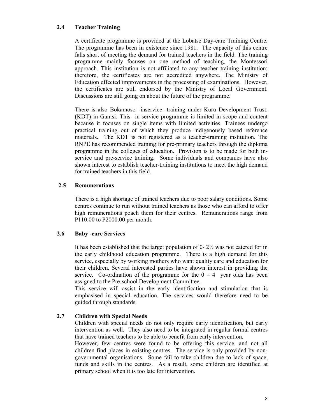## 2.4 Teacher Training

A certificate programme is provided at the Lobatse Day-care Training Centre. The programme has been in existence since 1981. The capacity of this centre falls short of meeting the demand for trained teachers in the field. The training programme mainly focuses on one method of teaching, the Montessori approach. This institution is not affiliated to any teacher training institution; therefore, the certificates are not accredited anywhere. The Ministry of Education effected improvements in the processing of examinations. However, the certificates are still endorsed by the Ministry of Local Government. Discussions are still going on about the future of the programme.

There is also Bokamoso inservice -training under Kuru Development Trust. (KDT) in Gantsi. This in-service programme is limited in scope and content because it focuses on single items with limited activities. Trainees undergo practical training out of which they produce indigenously based reference materials. The KDT is not registered as a teacher-training institution. The RNPE has recommended training for pre-primary teachers through the diploma programme in the colleges of education. Provision is to be made for both inservice and pre-service training. Some individuals and companies have also shown interest to establish teacher-training institutions to meet the high demand for trained teachers in this field.

## 2.5 Remunerations

There is a high shortage of trained teachers due to poor salary conditions. Some centres continue to run without trained teachers as those who can afford to offer high remunerations poach them for their centres. Remunerations range from P110.00 to P2000.00 per month.

# 2.6 Baby -care Services

It has been established that the target population of 0- 2½ was not catered for in the early childhood education programme. There is a high demand for this service, especially by working mothers who want quality care and education for their children. Several interested parties have shown interest in providing the service. Co-ordination of the programme for the  $0 - 4$  year olds has been assigned to the Pre-school Development Committee.

This service will assist in the early identification and stimulation that is emphasised in special education. The services would therefore need to be guided through standards.

# 2.7 Children with Special Needs

Children with special needs do not only require early identification, but early intervention as well. They also need to be integrated in regular formal centres that have trained teachers to be able to benefit from early intervention.

However, few centres were found to be offering this service, and not all children find places in existing centres. The service is only provided by nongovernmental organisations. Some fail to take children due to lack of space, funds and skills in the centres. As a result, some children are identified at primary school when it is too late for intervention.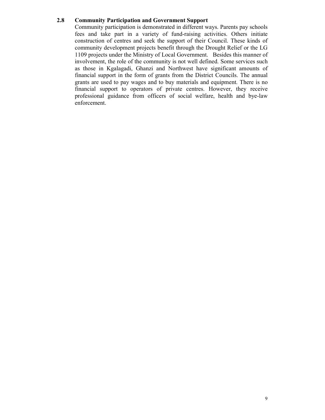### 2.8 Community Participation and Government Support

Community participation is demonstrated in different ways. Parents pay schools fees and take part in a variety of fund-raising activities. Others initiate construction of centres and seek the support of their Council. These kinds of community development projects benefit through the Drought Relief or the LG 1109 projects under the Ministry of Local Government. Besides this manner of involvement, the role of the community is not well defined. Some services such as those in Kgalagadi, Ghanzi and Northwest have significant amounts of financial support in the form of grants from the District Councils. The annual grants are used to pay wages and to buy materials and equipment. There is no financial support to operators of private centres. However, they receive professional guidance from officers of social welfare, health and bye-law enforcement.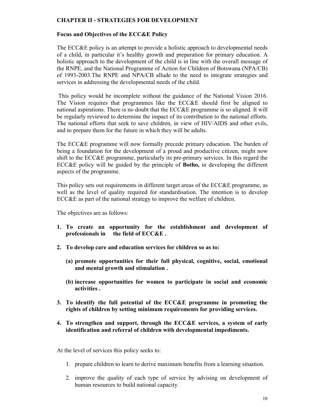### CHAPTER II - STRATEGIES FOR DEVELOPMENT

#### Focus and Objectives of the ECC&E Policy

The ECC&E policy is an attempt to provide a holistic approach to developmental needs of a child, in particular it's healthy growth and preparation for primary education. A holistic approach to the development of the child is in line with the overall message of the RNPE, and the National Programme of Action for Children of Botswana (NPA/CB) of 1993-2003.The RNPE and NPA/CB allude to the need to integrate strategies and services in addressing the developmental needs of the child.

 This policy would be incomplete without the guidance of the National Vision 2016. The Vision requires that programmes like the ECC&E should first be aligned to national aspirations. There is no doubt that the ECC&E programme is so aligned. It will be regularly reviewed to determine the impact of its contribution to the national efforts. The national efforts that seek to save children, in view of HIV/AIDS and other evils, and to prepare them for the future in which they will be adults.

The ECC&E programme will now formally precede primary education. The burden of being a foundation for the development of a proud and productive citizen, might now shift to the ECC&E programme, particularly its pre-primary services. In this regard the ECC&E policy will be guided by the principle of Botho, in developing the different aspects of the programme.

This policy sets out requirements in different target areas of the ECC&E programme, as well as the level of quality required for standardisation. The intention is to develop ECC&E as part of the national strategy to improve the welfare of children.

The objectives are as follows:

- 1. To create an opportunity for the establishment and development of professionals in the field of ECC&E .
- 2. To develop care and education services for children so as to:
	- (a) promote opportunities for their full physical, cognitive, social, emotional and mental growth and stimulation .
	- (b) increase opportunities for women to participate in social and economic activities .
- 3. To identify the full potential of the ECC&E programme in promoting the rights of children by setting minimum requirements for providing services.
- 4. To strengthen and support, through the ECC&E services, a system of early identification and referral of children with developmental impediments.

At the level of services this policy seeks to:

- 1. prepare children to learn to derive maximum benefits from a learning situation.
- 2. improve the quality of each type of service by advising on development of human resources to build national capacity.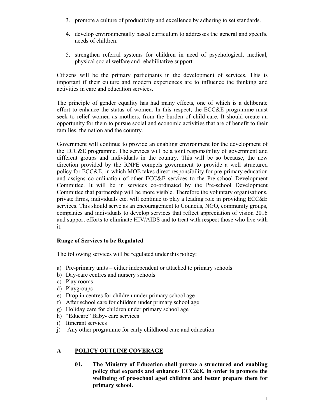- 3. promote a culture of productivity and excellence by adhering to set standards.
- 4. develop environmentally based curriculum to addresses the general and specific needs of children.
- 5. strengthen referral systems for children in need of psychological, medical, physical social welfare and rehabilitative support.

Citizens will be the primary participants in the development of services. This is important if their culture and modern experiences are to influence the thinking and activities in care and education services.

The principle of gender equality has had many effects, one of which is a deliberate effort to enhance the status of women. In this respect, the ECC&E programme must seek to relief women as mothers, from the burden of child-care. It should create an opportunity for them to pursue social and economic activities that are of benefit to their families, the nation and the country.

Government will continue to provide an enabling environment for the development of the ECC&E programme. The services will be a joint responsibility of government and different groups and individuals in the country. This will be so because, the new direction provided by the RNPE compels government to provide a well structured policy for ECC&E, in which MOE takes direct responsibility for pre-primary education and assigns co-ordination of other ECC&E services to the Pre-school Development Committee. It will be in services co-ordinated by the Pre-school Development Committee that partnership will be more visible. Therefore the voluntary organisations, private firms, individuals etc. will continue to play a leading role in providing ECC&E services. This should serve as an encouragement to Councils, NGO, community groups, companies and individuals to develop services that reflect appreciation of vision 2016 and support efforts to eliminate HIV/AIDS and to treat with respect those who live with it.

## Range of Services to be Regulated

The following services will be regulated under this policy:

- a) Pre-primary units either independent or attached to primary schools
- b) Day-care centres and nursery schools
- c) Play rooms
- d) Playgroups
- e) Drop in centres for children under primary school age
- f) After school care for children under primary school age
- g) Holiday care for children under primary school age
- h) "Educare" Baby- care services
- i) Itinerant services
- j) Any other programme for early childhood care and education

# A POLICY OUTLINE COVERAGE

01. The Ministry of Education shall pursue a structured and enabling policy that expands and enhances ECC&E, in order to promote the wellbeing of pre-school aged children and better prepare them for primary school.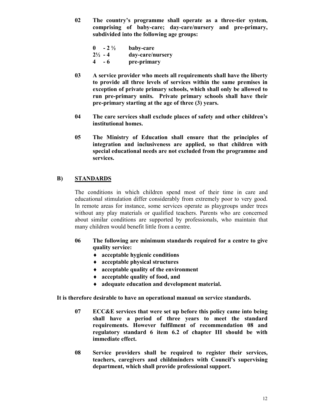02 The country's programme shall operate as a three-tier system, comprising of baby-care; day-care/nursery and pre-primary, subdivided into the following age groups:

| $0 - 2\frac{1}{2}$ | baby-care        |
|--------------------|------------------|
| $2\frac{1}{2}$ - 4 | day-care/nursery |
| $4 - 6$            | pre-primary      |

- 03 A service provider who meets all requirements shall have the liberty to provide all three levels of services within the same premises in exception of private primary schools, which shall only be allowed to run pre-primary units. Private primary schools shall have their pre-primary starting at the age of three (3) years.
- 04 The care services shall exclude places of safety and other children's institutional homes.
- 05 The Ministry of Education shall ensure that the principles of integration and inclusiveness are applied, so that children with special educational needs are not excluded from the programme and services.

## B) STANDARDS

The conditions in which children spend most of their time in care and educational stimulation differ considerably from extremely poor to very good. In remote areas for instance, some services operate as playgroups under trees without any play materials or qualified teachers. Parents who are concerned about similar conditions are supported by professionals, who maintain that many children would benefit little from a centre.

- 06 The following are minimum standards required for a centre to give quality service:
	- ♦ acceptable hygienic conditions
	- ♦ acceptable physical structures
	- ♦ acceptable quality of the environment
	- ♦ acceptable quality of food, and
	- ♦ adequate education and development material.

It is therefore desirable to have an operational manual on service standards.

- 07 ECC&E services that were set up before this policy came into being shall have a period of three years to meet the standard requirements. However fulfilment of recommendation 08 and regulatory standard 6 item 6.2 of chapter III should be with immediate effect.
- 08 Service providers shall be required to register their services, teachers, caregivers and childminders with Council's supervising department, which shall provide professional support.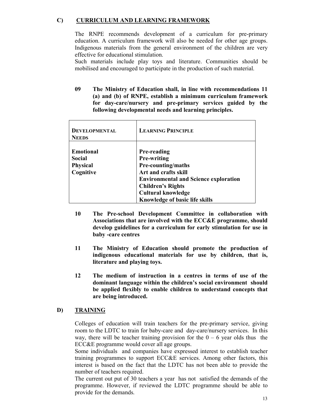# C) CURRICULUM AND LEARNING FRAMEWORK

The RNPE recommends development of a curriculum for pre-primary education. A curriculum framework will also be needed for other age groups. Indigenous materials from the general environment of the children are very effective for educational stimulation.

Such materials include play toys and literature. Communities should be mobilised and encouraged to participate in the production of such material.

09 The Ministry of Education shall, in line with recommendations 11 (a) and (b) of RNPE, establish a minimum curriculum framework for day-care/nursery and pre-primary services guided by the following developmental needs and learning principles.

| <b>DEVELOPMENTAL</b><br><b>NEEDS</b>                               | <b>LEARNING PRINCIPLE</b>                                                                                                                                                                                                         |
|--------------------------------------------------------------------|-----------------------------------------------------------------------------------------------------------------------------------------------------------------------------------------------------------------------------------|
| <b>E</b> motional<br><b>Social</b><br><b>Physical</b><br>Cognitive | <b>Pre-reading</b><br><b>Pre-writing</b><br>Pre-counting/maths<br>Art and crafts skill<br><b>Environmental and Science exploration</b><br><b>Children's Rights</b><br><b>Cultural knowledge</b><br>Knowledge of basic life skills |

- 10 The Pre-school Development Committee in collaboration with Associations that are involved with the ECC&E programme, should develop guidelines for a curriculum for early stimulation for use in baby -care centres
- 11 The Ministry of Education should promote the production of indigenous educational materials for use by children, that is, literature and playing toys.
- 12 The medium of instruction in a centres in terms of use of the dominant language within the children's social environment should be applied flexibly to enable children to understand concepts that are being introduced.

## D) TRAINING

Colleges of education will train teachers for the pre-primary service, giving room to the LDTC to train for baby-care and day-care/nursery services. In this way, there will be teacher training provision for the  $0 - 6$  year olds thus the ECC&E programme would cover all age groups.

Some individuals and companies have expressed interest to establish teacher training programmes to support ECC&E services. Among other factors, this interest is based on the fact that the LDTC has not been able to provide the number of teachers required.

The current out put of 30 teachers a year has not satisfied the demands of the programme. However, if reviewed the LDTC programme should be able to provide for the demands.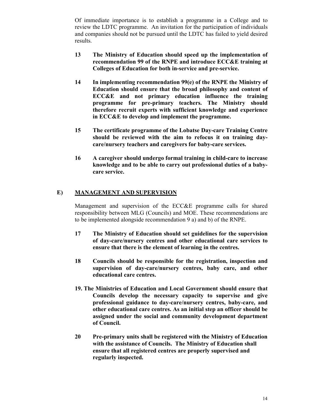Of immediate importance is to establish a programme in a College and to review the LDTC programme. An invitation for the participation of individuals and companies should not be pursued until the LDTC has failed to yield desired results.

- 13 The Ministry of Education should speed up the implementation of recommendation 99 of the RNPE and introduce ECC&E training at Colleges of Education for both in-service and pre-service.
- 14 In implementing recommendation 99(e) of the RNPE the Ministry of Education should ensure that the broad philosophy and content of ECC&E and not primary education influence the training programme for pre-primary teachers. The Ministry should therefore recruit experts with sufficient knowledge and experience in ECC&E to develop and implement the programme.
- 15 The certificate programme of the Lobatse Day-care Training Centre should be reviewed with the aim to refocus it on training daycare/nursery teachers and caregivers for baby-care services.
- 16 A caregiver should undergo formal training in child-care to increase knowledge and to be able to carry out professional duties of a babycare service.

# E) MANAGEMENT AND SUPERVISION

Management and supervision of the ECC&E programme calls for shared responsibility between MLG (Councils) and MOE. These recommendations are to be implemented alongside recommendation 9 a) and b) of the RNPE.

- 17 The Ministry of Education should set guidelines for the supervision of day-care/nursery centres and other educational care services to ensure that there is the element of learning in the centres.
- 18 Councils should be responsible for the registration, inspection and supervision of day-care/nursery centres, baby care, and other educational care centres.
- 19. The Ministries of Education and Local Government should ensure that Councils develop the necessary capacity to supervise and give professional guidance to day-care/nursery centres, baby-care, and other educational care centres. As an initial step an officer should be assigned under the social and community development department of Council.
- 20 Pre-primary units shall be registered with the Ministry of Education with the assistance of Councils. The Ministry of Education shall ensure that all registered centres are properly supervised and regularly inspected.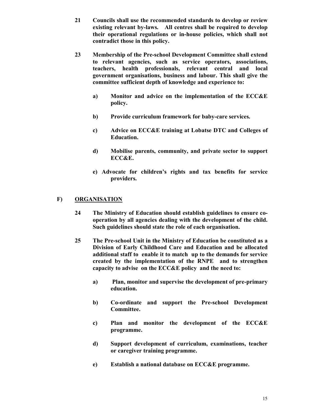- 21 Councils shall use the recommended standards to develop or review existing relevant by-laws. All centres shall be required to develop their operational regulations or in-house policies, which shall not contradict those in this policy.
- 23 Membership of the Pre-school Development Committee shall extend to relevant agencies, such as service operators, associations, teachers, health professionals, relevant central and local government organisations, business and labour. This shall give the committee sufficient depth of knowledge and experience to:
	- a) Monitor and advice on the implementation of the ECC&E policy.
	- b) Provide curriculum framework for baby-care services.
	- c) Advice on ECC&E training at Lobatse DTC and Colleges of Education.
	- d) Mobilise parents, community, and private sector to support ECC&E.
	- e) Advocate for children's rights and tax benefits for service providers.

### F) ORGANISATION

- 24 The Ministry of Education should establish guidelines to ensure cooperation by all agencies dealing with the development of the child. Such guidelines should state the role of each organisation.
- 25 The Pre-school Unit in the Ministry of Education be constituted as a Division of Early Childhood Care and Education and be allocated additional staff to enable it to match up to the demands for service created by the implementation of the RNPE and to strengthen capacity to advise on the ECC&E policy and the need to:
	- a) Plan, monitor and supervise the development of pre-primary education.
	- b) Co-ordinate and support the Pre-school Development Committee.
	- c) Plan and monitor the development of the ECC&E programme.
	- d) Support development of curriculum, examinations, teacher or caregiver training programme.
	- e) Establish a national database on ECC&E programme.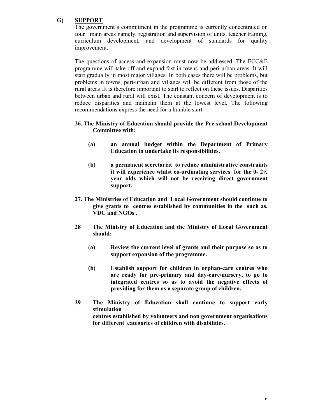## G) SUPPORT

The government's commitment in the programme is currently concentrated on four main areas namely, registration and supervision of units, teacher training, curriculum development, and development of standards for quality improvement.

The questions of access and expansion must now be addressed. The ECC&E programme will take off and expand fast in towns and peri-urban areas. It will start gradually in most major villages. In both cases there will be problems, but problems in towns, peri-urban and villages will be different from those of the rural areas .It is therefore important to start to reflect on these issues. Disparities between urban and rural will exist. The constant concern of development is to reduce disparities and maintain them at the lowest level. The following recommendations express the need for a humble start.

### 26. The Ministry of Education should provide the Pre-school Development Committee with:

- (a) an annual budget within the Department of Primary Education to undertake its responsibilities.
- (b) a permanent secretariat to reduce administrative constraints it will experience whilst co-ordinating services for the 0- 2½ year olds which will not be receiving direct government support.
- 27. The Ministries of Education and Local Government should continue to give grants to centres established by communities in the such as, VDC and NGOs .
- 28 The Ministry of Education and the Ministry of Local Government should:
	- (a) Review the current level of grants and their purpose so as to support expansion of the programme.
	- (b) Establish support for children in orphan-care centres who are ready for pre-primary and day-care/nursery, to go to integrated centres so as to avoid the negative effects of providing for them as a separate group of children.
- 29 The Ministry of Education shall continue to support early stimulation centres established by volunteers and non government organisations for different categories of children with disabilities.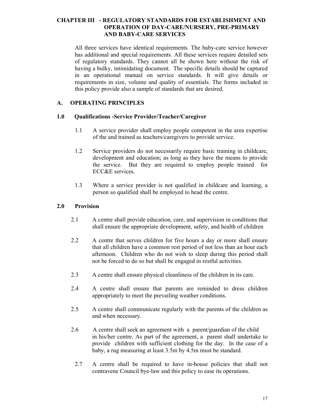### CHAPTER III - REGULATORY STANDARDS FOR ESTABLISHMENT AND OPERATION OF DAY-CARE/NURSERY, PRE-PRIMARY AND BABY-CARE SERVICES

All three services have identical requirements. The baby-care service however has additional and special requirements. All these services require detailed sets of regulatory standards. They cannot all be shown here without the risk of having a bulky, intimidating document. The specific details should be captured in an operational manual on service standards. It will give details or requirements in size, volume and quality of essentials. The forms included in this policy provide also a sample of standards that are desired.

### A. OPERATING PRINCIPLES

### 1.0 Qualifications -Service Provider/Teacher/Caregiver

- 1.1 A service provider shall employ people competent in the area expertise of the and trained as teachers/caregivers to provide service.
- 1.2 Service providers do not necessarily require basic training in childcare, development and education; as long as they have the means to provide the service. But they are required to employ people trained for ECC&E services.
- 1.3 Where a service provider is not qualified in childcare and learning, a person so qualified shall be employed to head the centre.

### 2.0 Provision

- 2.1 A centre shall provide education, care, and supervision in conditions that shall ensure the appropriate development, safety, and health of children
- 2.2 A centre that serves children for five hours a day or more shall ensure that all children have a common rest period of not less than an hour each afternoon. Children who do not wish to sleep during this period shall not be forced to do so but shall be engaged in restful activities.
- 2.3 A centre shall ensure physical cleanliness of the children in its care.
- 2.4 A centre shall ensure that parents are reminded to dress children appropriately to meet the prevailing weather conditions.
- 2.5 A centre shall communicate regularly with the parents of the children as and when necessary.
- 2.6 A centre shall seek an agreement with a parent/guardian of the child in his/her centre. As part of the agreement, a parent shall undertake to provide children with sufficient clothing for the day. In the case of a baby, a rug measuring at least 3.5m by 4.5m must be standard.
	- 2.7 A centre shall be required to have in-house policies that shall not contravene Council bye-law and this policy to ease its operations.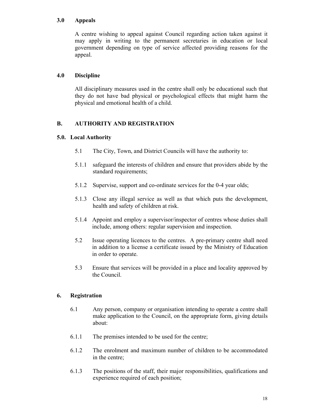### 3.0 Appeals

 A centre wishing to appeal against Council regarding action taken against it may apply in writing to the permanent secretaries in education or local government depending on type of service affected providing reasons for the appeal.

### 4.0 Discipline

All disciplinary measures used in the centre shall only be educational such that they do not have bad physical or psychological effects that might harm the physical and emotional health of a child.

## B. AUTHORITY AND REGISTRATION

### 5.0. Local Authority

- 5.1 The City, Town, and District Councils will have the authority to:
- 5.1.1 safeguard the interests of children and ensure that providers abide by the standard requirements;
- 5.1.2 Supervise, support and co-ordinate services for the 0-4 year olds;
- 5.1.3 Close any illegal service as well as that which puts the development, health and safety of children at risk.
- 5.1.4 Appoint and employ a supervisor/inspector of centres whose duties shall include, among others: regular supervision and inspection.
- 5.2 Issue operating licences to the centres. A pre-primary centre shall need in addition to a license a certificate issued by the Ministry of Education in order to operate.
- 5.3 Ensure that services will be provided in a place and locality approved by the Council.

## 6. Registration

- 6.1 Any person, company or organisation intending to operate a centre shall make application to the Council, on the appropriate form, giving details about:
- 6.1.1 The premises intended to be used for the centre;
- 6.1.2 The enrolment and maximum number of children to be accommodated in the centre;
- 6.1.3 The positions of the staff, their major responsibilities, qualifications and experience required of each position;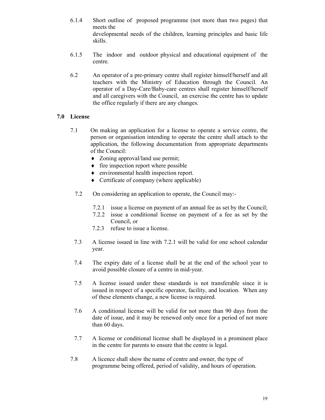- 6.1.4 Short outline of proposed programme (not more than two pages) that meets the developmental needs of the children, learning principles and basic life skills.
- 6.1.5 The indoor and outdoor physical and educational equipment of the centre.
- 6.2 An operator of a pre-primary centre shall register himself/herself and all teachers with the Ministry of Education through the Council. An operator of a Day-Care/Baby-care centres shall register himself/herself and all caregivers with the Council, an exercise the centre has to update the office regularly if there are any changes.

## 7.0 License

- 7.1 On making an application for a license to operate a service centre, the person or organisation intending to operate the centre shall attach to the application, the following documentation from appropriate departments of the Council:
	- ♦ Zoning approval/land use permit;
	- ♦ fire inspection report where possible
	- ♦ environmental health inspection report.
	- ♦ Certificate of company (where applicable)
	- 7.2 On considering an application to operate, the Council may:-
		- 7.2.1 issue a license on payment of an annual fee as set by the Council;
		- 7.2.2 issue a conditional license on payment of a fee as set by the Council, or
		- 7.2.3 refuse to issue a license.
	- 7.3 A license issued in line with 7.2.1 will be valid for one school calendar year.
	- 7.4 The expiry date of a license shall be at the end of the school year to avoid possible closure of a centre in mid-year.
	- 7.5 A license issued under these standards is not transferable since it is issued in respect of a specific operator, facility, and location. When any of these elements change, a new license is required.
	- 7.6 A conditional license will be valid for not more than 90 days from the date of issue, and it may be renewed only once for a period of not more than 60 days.
	- 7.7 A license or conditional license shall be displayed in a prominent place in the centre for parents to ensure that the centre is legal.
- 7.8 A licence shall show the name of centre and owner, the type of programme being offered, period of validity, and hours of operation.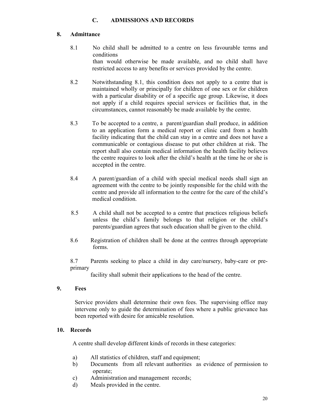### C. ADMISSIONS AND RECORDS

### 8. Admittance

- 8.1 No child shall be admitted to a centre on less favourable terms and conditions than would otherwise be made available, and no child shall have restricted access to any benefits or services provided by the centre.
- 8.2 Notwithstanding 8.1, this condition does not apply to a centre that is maintained wholly or principally for children of one sex or for children with a particular disability or of a specific age group. Likewise, it does not apply if a child requires special services or facilities that, in the circumstances, cannot reasonably be made available by the centre.
- 8.3 To be accepted to a centre, a parent/guardian shall produce, in addition to an application form a medical report or clinic card from a health facility indicating that the child can stay in a centre and does not have a communicable or contagious disease to put other children at risk. The report shall also contain medical information the health facility believes the centre requires to look after the child's health at the time he or she is accepted in the centre.
- 8.4 A parent/guardian of a child with special medical needs shall sign an agreement with the centre to be jointly responsible for the child with the centre and provide all information to the centre for the care of the child's medical condition.
- 8.5 A child shall not be accepted to a centre that practices religious beliefs unless the child's family belongs to that religion or the child's parents/guardian agrees that such education shall be given to the child.
- 8.6 Registration of children shall be done at the centres through appropriate forms.

8.7 Parents seeking to place a child in day care/nursery, baby-care or preprimary

facility shall submit their applications to the head of the centre.

### 9. Fees

Service providers shall determine their own fees. The supervising office may intervene only to guide the determination of fees where a public grievance has been reported with desire for amicable resolution.

### 10. Records

A centre shall develop different kinds of records in these categories:

- a) All statistics of children, staff and equipment;
- b) Documents from all relevant authorities as evidence of permission to operate;
- c) Administration and management records;
- d) Meals provided in the centre.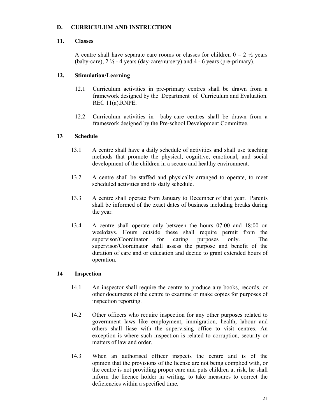## D. CURRICULUM AND INSTRUCTION

## 11. Classes

A centre shall have separate care rooms or classes for children  $0 - 2 \frac{1}{2}$  years (baby-care),  $2\frac{1}{2}$  - 4 years (day-care/nursery) and 4 - 6 years (pre-primary).

# 12. Stimulation/Learning

- 12.1 Curriculum activities in pre-primary centres shall be drawn from a framework designed by the Department of Curriculum and Evaluation. REC 11(a).RNPE.
- 12.2 Curriculum activities in baby-care centres shall be drawn from a framework designed by the Pre-school Development Committee.

## 13 Schedule

- 13.1 A centre shall have a daily schedule of activities and shall use teaching methods that promote the physical, cognitive, emotional, and social development of the children in a secure and healthy environment.
- 13.2 A centre shall be staffed and physically arranged to operate, to meet scheduled activities and its daily schedule.
- 13.3 A centre shall operate from January to December of that year. Parents shall be informed of the exact dates of business including breaks during the year.
- 13.4 A centre shall operate only between the hours 07:00 and 18:00 on weekdays. Hours outside these shall require permit from the supervisor/Coordinator for caring purposes only. The supervisor/Coordinator shall assess the purpose and benefit of the duration of care and or education and decide to grant extended hours of operation.

## 14 Inspection

- 14.1 An inspector shall require the centre to produce any books, records, or other documents of the centre to examine or make copies for purposes of inspection reporting.
- 14.2 Other officers who require inspection for any other purposes related to government laws like employment, immigration, health, labour and others shall liase with the supervising office to visit centres. An exception is where such inspection is related to corruption, security or matters of law and order
- 14.3 When an authorised officer inspects the centre and is of the opinion that the provisions of the license are not being complied with, or the centre is not providing proper care and puts children at risk, he shall inform the licence holder in writing, to take measures to correct the deficiencies within a specified time.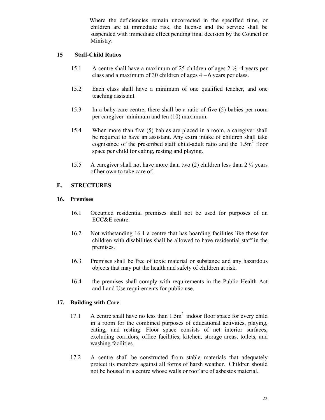Where the deficiencies remain uncorrected in the specified time, or children are at immediate risk, the license and the service shall be suspended with immediate effect pending final decision by the Council or Ministry.

### 15 Staff-Child Ratios

- 15.1 A centre shall have a maximum of 25 children of ages 2 ½ -4 years per class and a maximum of 30 children of ages  $4 - 6$  years per class.
- 15.2 Each class shall have a minimum of one qualified teacher, and one teaching assistant.
- 15.3 In a baby-care centre, there shall be a ratio of five (5) babies per room per caregiver minimum and ten (10) maximum.
- 15.4 When more than five (5) babies are placed in a room, a caregiver shall be required to have an assistant. Any extra intake of children shall take cognisance of the prescribed staff child-adult ratio and the  $1.5m<sup>2</sup>$  floor space per child for eating, resting and playing.
- 15.5 A caregiver shall not have more than two (2) children less than  $2\frac{1}{2}$  years of her own to take care of.

## E. STRUCTURES

### 16. Premises

- 16.1 Occupied residential premises shall not be used for purposes of an ECC&E centre.
- 16.2 Not withstanding 16.1 a centre that has boarding facilities like those for children with disabilities shall be allowed to have residential staff in the premises.
- 16.3 Premises shall be free of toxic material or substance and any hazardous objects that may put the health and safety of children at risk.
- 16.4 the premises shall comply with requirements in the Public Health Act and Land Use requirements for public use.

### 17. Building with Care

- 17.1 A centre shall have no less than  $1.5m<sup>2</sup>$  indoor floor space for every child in a room for the combined purposes of educational activities, playing, eating, and resting. Floor space consists of net interior surfaces, excluding corridors, office facilities, kitchen, storage areas, toilets, and washing facilities.
- 17.2 A centre shall be constructed from stable materials that adequately protect its members against all forms of harsh weather. Children should not be housed in a centre whose walls or roof are of asbestos material.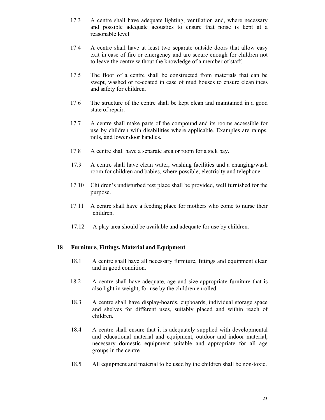- 17.3 A centre shall have adequate lighting, ventilation and, where necessary and possible adequate acoustics to ensure that noise is kept at a reasonable level.
- 17.4 A centre shall have at least two separate outside doors that allow easy exit in case of fire or emergency and are secure enough for children not to leave the centre without the knowledge of a member of staff.
- 17.5 The floor of a centre shall be constructed from materials that can be swept, washed or re-coated in case of mud houses to ensure cleanliness and safety for children.
- 17.6 The structure of the centre shall be kept clean and maintained in a good state of repair.
- 17.7 A centre shall make parts of the compound and its rooms accessible for use by children with disabilities where applicable. Examples are ramps, rails, and lower door handles.
- 17.8 A centre shall have a separate area or room for a sick bay.
- 17.9 A centre shall have clean water, washing facilities and a changing/wash room for children and babies, where possible, electricity and telephone.
- 17.10 Children's undisturbed rest place shall be provided, well furnished for the purpose.
- 17.11 A centre shall have a feeding place for mothers who come to nurse their children.
- 17.12 A play area should be available and adequate for use by children.

#### 18 Furniture, Fittings, Material and Equipment

- 18.1 A centre shall have all necessary furniture, fittings and equipment clean and in good condition.
- 18.2 A centre shall have adequate, age and size appropriate furniture that is also light in weight, for use by the children enrolled.
- 18.3 A centre shall have display-boards, cupboards, individual storage space and shelves for different uses, suitably placed and within reach of children.
- 18.4 A centre shall ensure that it is adequately supplied with developmental and educational material and equipment, outdoor and indoor material, necessary domestic equipment suitable and appropriate for all age groups in the centre.
- 18.5 All equipment and material to be used by the children shall be non-toxic.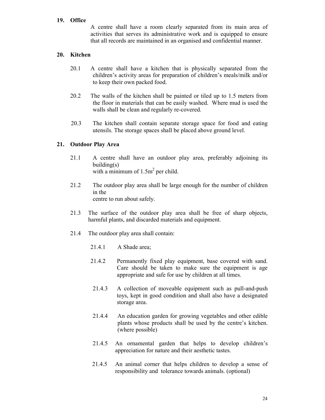### 19. Office

A centre shall have a room clearly separated from its main area of activities that serves its administrative work and is equipped to ensure that all records are maintained in an organised and confidential manner.

### 20. Kitchen

- 20.1 A centre shall have a kitchen that is physically separated from the children's activity areas for preparation of children's meals/milk and/or to keep their own packed food.
- 20.2 The walls of the kitchen shall be painted or tiled up to 1.5 meters from the floor in materials that can be easily washed. Where mud is used the walls shall be clean and regularly re-covered.
- 20.3 The kitchen shall contain separate storage space for food and eating utensils. The storage spaces shall be placed above ground level.

### 21. Outdoor Play Area

- 21.1 A centre shall have an outdoor play area, preferably adjoining its building(s) with a minimum of  $1.5m^2$  per child.
- 21.2 The outdoor play area shall be large enough for the number of children in the centre to run about safely.
- 21.3 The surface of the outdoor play area shall be free of sharp objects, harmful plants, and discarded materials and equipment.
- 21.4 The outdoor play area shall contain:
	- 21.4.1 A Shade area;
	- 21.4.2 Permanently fixed play equipment, base covered with sand. Care should be taken to make sure the equipment is age appropriate and safe for use by children at all times.
	- 21.4.3 A collection of moveable equipment such as pull-and-push toys, kept in good condition and shall also have a designated storage area.
	- 21.4.4 An education garden for growing vegetables and other edible plants whose products shall be used by the centre's kitchen. (where possible)
	- 21.4.5 An ornamental garden that helps to develop children's appreciation for nature and their aesthetic tastes.
	- 21.4.5 An animal corner that helps children to develop a sense of responsibility and tolerance towards animals. (optional)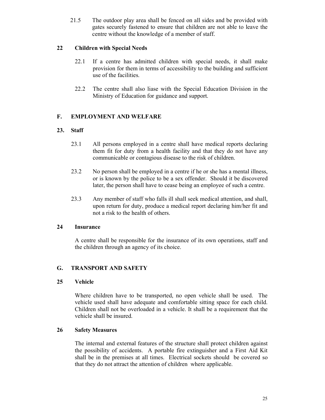21.5 The outdoor play area shall be fenced on all sides and be provided with gates securely fastened to ensure that children are not able to leave the centre without the knowledge of a member of staff.

## 22 Children with Special Needs

- 22.1 If a centre has admitted children with special needs, it shall make provision for them in terms of accessibility to the building and sufficient use of the facilities.
- 22.2 The centre shall also liase with the Special Education Division in the Ministry of Education for guidance and support.

# F. EMPLOYMENT AND WELFARE

## 23. Staff

- 23.1 All persons employed in a centre shall have medical reports declaring them fit for duty from a health facility and that they do not have any communicable or contagious disease to the risk of children.
- 23.2 No person shall be employed in a centre if he or she has a mental illness, or is known by the police to be a sex offender. Should it be discovered later, the person shall have to cease being an employee of such a centre.
- 23.3 Any member of staff who falls ill shall seek medical attention, and shall, upon return for duty, produce a medical report declaring him/her fit and not a risk to the health of others.

## 24 Insurance

A centre shall be responsible for the insurance of its own operations, staff and the children through an agency of its choice.

## G. TRANSPORT AND SAFETY

## 25 Vehicle

Where children have to be transported, no open vehicle shall be used. The vehicle used shall have adequate and comfortable sitting space for each child. Children shall not be overloaded in a vehicle. It shall be a requirement that the vehicle shall be insured.

## 26 Safety Measures

The internal and external features of the structure shall protect children against the possibility of accidents. A portable fire extinguisher and a First Aid Kit shall be in the premises at all times. Electrical sockets should be covered so that they do not attract the attention of children where applicable.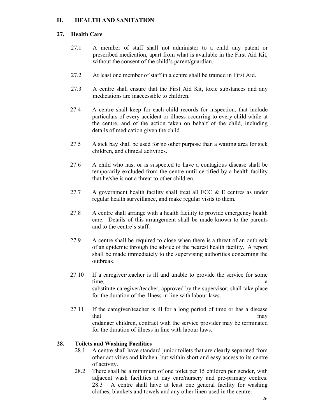# H. HEALTH AND SANITATION

### 27. Health Care

- 27.1 A member of staff shall not administer to a child any patent or prescribed medication, apart from what is available in the First Aid Kit, without the consent of the child's parent/guardian.
- 27.2 At least one member of staff in a centre shall be trained in First Aid.
- 27.3 A centre shall ensure that the First Aid Kit, toxic substances and any medications are inaccessible to children.
- 27.4 A centre shall keep for each child records for inspection, that include particulars of every accident or illness occurring to every child while at the centre, and of the action taken on behalf of the child, including details of medication given the child.
- 27.5 A sick bay shall be used for no other purpose than a waiting area for sick children, and clinical activities.
- 27.6 A child who has, or is suspected to have a contagious disease shall be temporarily excluded from the centre until certified by a health facility that he/she is not a threat to other children.
- 27.7 A government health facility shall treat all ECC  $\&$  E centres as under regular health surveillance, and make regular visits to them.
- 27.8 A centre shall arrange with a health facility to provide emergency health care. Details of this arrangement shall be made known to the parents and to the centre's staff.
- 27.9 A centre shall be required to close when there is a threat of an outbreak of an epidemic through the advice of the nearest health facility. A report shall be made immediately to the supervising authorities concerning the outbreak.
- 27.10 If a caregiver/teacher is ill and unable to provide the service for some time, a set of the set of the set of the set of the set of the set of the set of the set of the set of the set of the set of the set of the set of the set of the set of the set of the set of the set of the set of the set o substitute caregiver/teacher, approved by the supervisor, shall take place for the duration of the illness in line with labour laws.
- 27.11 If the caregiver/teacher is ill for a long period of time or has a disease that may not be a set of the may may have the may may endanger children, contract with the service provider may be terminated for the duration of illness in line with labour laws.

### 28. Toilets and Washing Facilities

- 28.1 A centre shall have standard junior toilets that are clearly separated from other activities and kitchen, but within short and easy access to its centre of activity.
- 28.2 There shall be a minimum of one toilet per 15 children per gender, with adjacent wash facilities at day care/nursery and pre-primary centres. 28.3 A centre shall have at least one general facility for washing clothes, blankets and towels and any other linen used in the centre.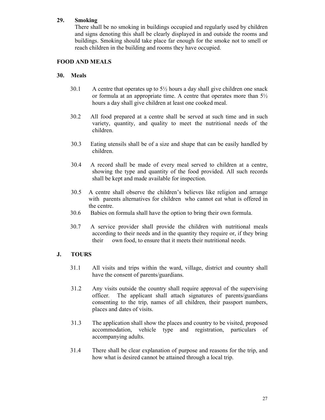### 29. Smoking

There shall be no smoking in buildings occupied and regularly used by children and signs denoting this shall be clearly displayed in and outside the rooms and buildings. Smoking should take place far enough for the smoke not to smell or reach children in the building and rooms they have occupied.

### FOOD AND MEALS

### 30. Meals

- 30.1 A centre that operates up to  $5\frac{1}{2}$  hours a day shall give children one snack or formula at an appropriate time. A centre that operates more than  $5\frac{1}{2}$ hours a day shall give children at least one cooked meal.
- 30.2 All food prepared at a centre shall be served at such time and in such variety, quantity, and quality to meet the nutritional needs of the children.
- 30.3 Eating utensils shall be of a size and shape that can be easily handled by children.
- 30.4 A record shall be made of every meal served to children at a centre, showing the type and quantity of the food provided. All such records shall be kept and made available for inspection.
- 30.5 A centre shall observe the children's believes like religion and arrange with parents alternatives for children who cannot eat what is offered in the centre.
- 30.6 Babies on formula shall have the option to bring their own formula.
- 30.7 A service provider shall provide the children with nutritional meals according to their needs and in the quantity they require or, if they bring their own food, to ensure that it meets their nutritional needs.

## J. TOURS

- 31.1 All visits and trips within the ward, village, district and country shall have the consent of parents/guardians.
- 31.2 Any visits outside the country shall require approval of the supervising officer. The applicant shall attach signatures of parents/guardians consenting to the trip, names of all children, their passport numbers, places and dates of visits.
- 31.3 The application shall show the places and country to be visited, proposed accommodation, vehicle type and registration, particulars of accompanying adults.
- 31.4 There shall be clear explanation of purpose and reasons for the trip, and how what is desired cannot be attained through a local trip.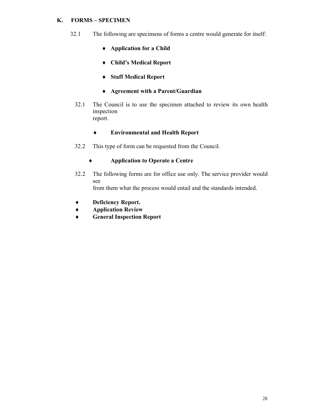# K. FORMS – SPECIMEN

- 32.1 The following are specimens of forms a centre would generate for itself:
	- ♦ Application for a Child
	- ♦ Child's Medical Report
	- ♦ Staff Medical Report
	- ♦ Agreement with a Parent/Guardian
	- 32.1 The Council is to use the specimen attached to review its own health inspection report.

## ♦ Environmental and Health Report

32.2 This type of form can be requested from the Council.

## ♦ Application to Operate a Centre

- 32.2 The following forms are for office use only. The service provider would see from them what the process would entail and the standards intended.
- ♦ Deficiency Report.
- ♦ Application Review
- ♦ General Inspection Report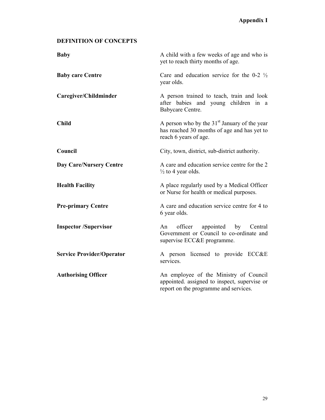# DEFINITION OF CONCEPTS

| <b>Baby</b>                      | A child with a few weeks of age and who is<br>yet to reach thirty months of age.                                                |  |  |
|----------------------------------|---------------------------------------------------------------------------------------------------------------------------------|--|--|
| <b>Baby care Centre</b>          | Care and education service for the 0-2 $\frac{1}{2}$<br>year olds.                                                              |  |  |
| Caregiver/Childminder            | A person trained to teach, train and look<br>after babies and young children in a<br>Babycare Centre.                           |  |  |
| <b>Child</b>                     | A person who by the $31st$ January of the year<br>has reached 30 months of age and has yet to<br>reach 6 years of age.          |  |  |
| Council                          | City, town, district, sub-district authority.                                                                                   |  |  |
| <b>Day Care/Nursery Centre</b>   | A care and education service centre for the 2<br>$\frac{1}{2}$ to 4 year olds.                                                  |  |  |
| <b>Health Facility</b>           | A place regularly used by a Medical Officer<br>or Nurse for health or medical purposes.                                         |  |  |
| <b>Pre-primary Centre</b>        | A care and education service centre for 4 to<br>6 year olds.                                                                    |  |  |
| <b>Inspector /Supervisor</b>     | appointed by<br>An<br>officer<br>Central<br>Government or Council to co-ordinate and<br>supervise ECC&E programme.              |  |  |
| <b>Service Provider/Operator</b> | A person licensed to provide ECC&E<br>services.                                                                                 |  |  |
| <b>Authorising Officer</b>       | An employee of the Ministry of Council<br>appointed. assigned to inspect, supervise or<br>report on the programme and services. |  |  |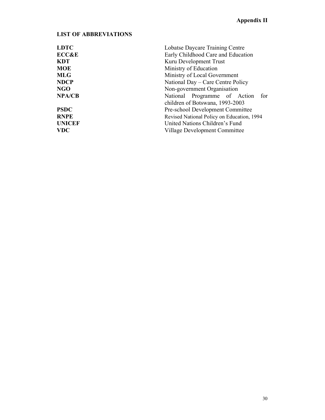# LIST OF ABBREVIATIONS

| <b>LDTC</b>      | Lobatse Daycare Training Centre            |  |  |  |
|------------------|--------------------------------------------|--|--|--|
| <b>ECC&amp;E</b> | Early Childhood Care and Education         |  |  |  |
| <b>KDT</b>       | Kuru Development Trust                     |  |  |  |
| <b>MOE</b>       | Ministry of Education                      |  |  |  |
| <b>MLG</b>       | Ministry of Local Government               |  |  |  |
| <b>NDCP</b>      | National Day – Care Centre Policy          |  |  |  |
| <b>NGO</b>       | Non-government Organisation                |  |  |  |
| <b>NPA/CB</b>    | National Programme of Action<br>for        |  |  |  |
|                  | children of Botswana, 1993-2003            |  |  |  |
| <b>PSDC</b>      | Pre-school Development Committee           |  |  |  |
| <b>RNPE</b>      | Revised National Policy on Education, 1994 |  |  |  |
| <b>UNICEF</b>    | United Nations Children's Fund             |  |  |  |
| <b>VDC</b>       | Village Development Committee              |  |  |  |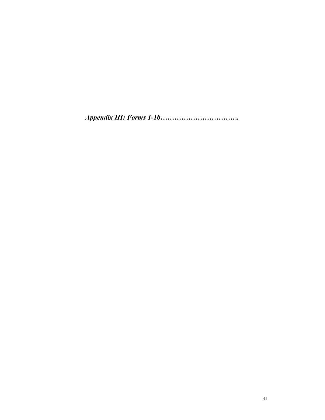Appendix III: Forms 1-10…………………………….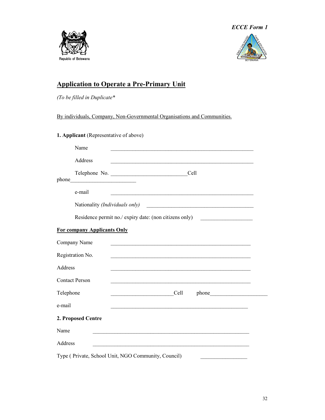





# Application to Operate a Pre-Primary Unit

(To be filled in Duplicate\*

By individuals, Company, Non-Governmental Organisations and Communities.

|           | 1. Applicant (Representative of above) |                                                                                                                                                                                                                                               |
|-----------|----------------------------------------|-----------------------------------------------------------------------------------------------------------------------------------------------------------------------------------------------------------------------------------------------|
|           | Name                                   |                                                                                                                                                                                                                                               |
|           | Address                                | <u> 1989 - Johann Stoff, amerikansk politiker (d. 1989)</u>                                                                                                                                                                                   |
|           |                                        | Cell<br>Telephone No.                                                                                                                                                                                                                         |
|           | e-mail                                 |                                                                                                                                                                                                                                               |
|           | Nationality (Individuals only)         |                                                                                                                                                                                                                                               |
|           |                                        | Residence permit no./ expiry date: (non citizens only)                                                                                                                                                                                        |
|           | <b>For company Applicants Only</b>     |                                                                                                                                                                                                                                               |
|           | Company Name                           | <u> 1989 - Johann John Harry Harry Harry Harry Harry Harry Harry Harry Harry Harry Harry Harry Harry Harry Harry H</u>                                                                                                                        |
|           | Registration No.                       | <u> 1989 - Johann Stoff, deutscher Stoff, der Stoff, der Stoff, der Stoff, der Stoff, der Stoff, der Stoff, der S</u>                                                                                                                         |
| Address   |                                        |                                                                                                                                                                                                                                               |
|           | <b>Contact Person</b>                  | <u> 1989 - Johann Stoff, amerikansk politiker (d. 1989)</u>                                                                                                                                                                                   |
| Telephone |                                        | <b>Cell</b><br>phone that the phone of the state of the state of the state of the state of the state of the state of the state of the state of the state of the state of the state of the state of the state of the state of the state of the |
| e-mail    |                                        | <u> 1990 - Para Maria Maria Maria Maria Maria Maria Maria Maria Maria Maria Maria Maria Maria Maria Maria Maria M</u>                                                                                                                         |
|           | 2. Proposed Centre                     |                                                                                                                                                                                                                                               |
| Name      |                                        | <u> 1989 - Johann Stoff, amerikansk politiker (d. 1989)</u>                                                                                                                                                                                   |
| Address   |                                        |                                                                                                                                                                                                                                               |
|           |                                        | Type (Private, School Unit, NGO Community, Council)                                                                                                                                                                                           |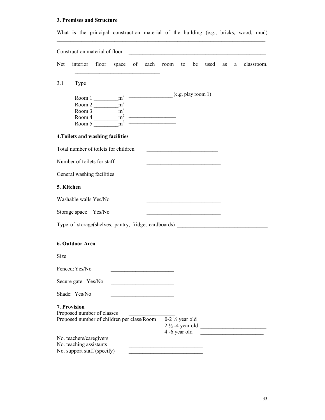# 3. Premises and Structure

| What is the principal construction material of the building (e.g., bricks, wood, mud)                                                                                                                                                                                                                                                                    |                                                                                                                        |         |         |            |
|----------------------------------------------------------------------------------------------------------------------------------------------------------------------------------------------------------------------------------------------------------------------------------------------------------------------------------------------------------|------------------------------------------------------------------------------------------------------------------------|---------|---------|------------|
| Construction material of floor                                                                                                                                                                                                                                                                                                                           |                                                                                                                        |         |         |            |
| interior floor<br>Net<br>space of each room                                                                                                                                                                                                                                                                                                              | to                                                                                                                     | be used | as<br>a | classroom. |
| 3.1<br>Type                                                                                                                                                                                                                                                                                                                                              |                                                                                                                        |         |         |            |
| Room 1 $\frac{m^2}{2}$ $\frac{m^2}{2}$ $\frac{m^2}{2}$ $\frac{m^2}{2}$ $\frac{m^2}{2}$ $\frac{m^2}{2}$ $\frac{m^2}{2}$ $\frac{m^2}{2}$ $\frac{m^2}{2}$ $\frac{m^2}{2}$ $\frac{m^2}{2}$ $\frac{m^2}{2}$ $\frac{m^2}{2}$ $\frac{m^2}{2}$ $\frac{m^2}{2}$ $\frac{m^2}{2}$ $\frac{m^2}{2}$ $\frac{m^2}{2}$                                                   |                                                                                                                        |         |         |            |
| $m^2$ $\overline{\qquad \qquad }$<br>$\frac{1}{2}$ $\frac{1}{2}$ $\frac{1}{2}$ $\frac{1}{2}$ $\frac{1}{2}$ $\frac{1}{2}$ $\frac{1}{2}$ $\frac{1}{2}$ $\frac{1}{2}$ $\frac{1}{2}$ $\frac{1}{2}$ $\frac{1}{2}$ $\frac{1}{2}$ $\frac{1}{2}$ $\frac{1}{2}$ $\frac{1}{2}$ $\frac{1}{2}$ $\frac{1}{2}$ $\frac{1}{2}$ $\frac{1}{2}$ $\frac{1}{2}$ $\frac{1}{2}$ |                                                                                                                        |         |         |            |
| $\frac{1}{2}$ $\frac{1}{2}$ $\frac{1}{2}$ $\frac{1}{2}$ $\frac{1}{2}$ $\frac{1}{2}$ $\frac{1}{2}$ $\frac{1}{2}$ $\frac{1}{2}$ $\frac{1}{2}$ $\frac{1}{2}$ $\frac{1}{2}$ $\frac{1}{2}$ $\frac{1}{2}$ $\frac{1}{2}$ $\frac{1}{2}$ $\frac{1}{2}$ $\frac{1}{2}$ $\frac{1}{2}$ $\frac{1}{2}$ $\frac{1}{2}$ $\frac{1}{2}$<br>Room 4                            |                                                                                                                        |         |         |            |
| $\rm{m}^2$<br>Room 5                                                                                                                                                                                                                                                                                                                                     |                                                                                                                        |         |         |            |
| 4. Toilets and washing facilities                                                                                                                                                                                                                                                                                                                        |                                                                                                                        |         |         |            |
| Total number of toilets for children                                                                                                                                                                                                                                                                                                                     |                                                                                                                        |         |         |            |
| Number of toilets for staff                                                                                                                                                                                                                                                                                                                              |                                                                                                                        |         |         |            |
| General washing facilities                                                                                                                                                                                                                                                                                                                               | <u> 1989 - Johann John Stone, mars eta industrial eta industrial eta industrial eta industrial eta industrial eta</u>  |         |         |            |
| 5. Kitchen                                                                                                                                                                                                                                                                                                                                               |                                                                                                                        |         |         |            |
| Washable walls Yes/No                                                                                                                                                                                                                                                                                                                                    | the control of the control of the control of the control of the control of                                             |         |         |            |
| Storage space Yes/No                                                                                                                                                                                                                                                                                                                                     | <u> 1980 - Johann John Stone, mars eta erroman eta erroman erroman erroman erroman erroman erroman erroman erroman</u> |         |         |            |
| Type of storage(shelves, pantry, fridge, cardboards) ___________________________                                                                                                                                                                                                                                                                         |                                                                                                                        |         |         |            |
| 6. Outdoor Area                                                                                                                                                                                                                                                                                                                                          |                                                                                                                        |         |         |            |
| Size                                                                                                                                                                                                                                                                                                                                                     |                                                                                                                        |         |         |            |
| Fenced: Yes/No                                                                                                                                                                                                                                                                                                                                           |                                                                                                                        |         |         |            |
| Secure gate: Yes/No                                                                                                                                                                                                                                                                                                                                      |                                                                                                                        |         |         |            |
| Shade: Yes/No                                                                                                                                                                                                                                                                                                                                            |                                                                                                                        |         |         |            |
| 7. Provision<br>Proposed number of classes<br>Proposed number of children per class/Room                                                                                                                                                                                                                                                                 | $0-2\frac{1}{2}$ year old                                                                                              |         |         |            |
| No. teachers/caregivers<br>No. teaching assistants<br>No. support staff (specify)                                                                                                                                                                                                                                                                        | 4 -6 year old                                                                                                          |         |         |            |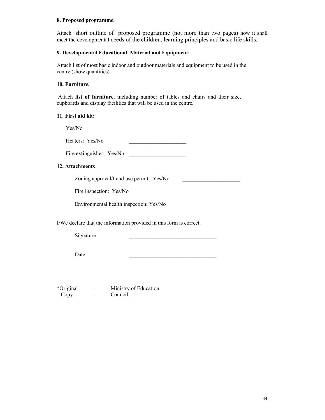#### 8. Proposed programme.

Attach short outline of proposed programme (not more than two pages) how it shall meet the developmental needs of the children, learning principles and basic life skills.

### 9. Developmental Educational Material and Equipment:

Attach list of most basic indoor and outdoor materials and equipment to be used in the centre (show quantities).

### 10. Furniture.

 Attach list of furniture, including number of tables and chairs and their size, cupboards and display facilities that will be used in the centre.

#### 11. First aid kit:

Yes/No

Heaters: Yes/No \_\_\_\_\_\_\_\_\_\_\_\_\_\_\_\_\_\_\_\_\_

Fire extinguisher: Yes/No \_\_\_\_\_\_\_\_\_\_\_\_\_\_\_\_\_\_\_\_\_

### 12. Attachments

Zoning approval/Land use permit: Yes/No

Fire inspection: Yes/No

Environmental health inspection: Yes/No \_\_\_\_\_\_\_\_\_\_\_\_\_\_\_\_\_\_\_\_\_

I/We declare that the information provided in this form is correct.

Signature

Date  $\Box$ 

\*Original - Ministry of Education - Council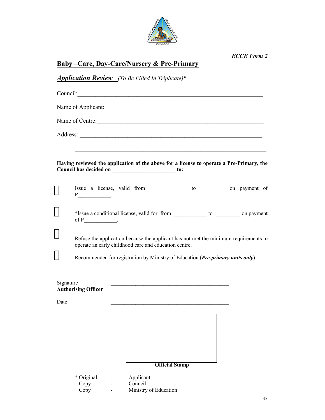

# Baby –Care, Day-Care/Nursery & Pre-Primary

# Application Review (To Be Filled In Triplicate)\*

|           |                                                                                                                                               |  | Council:                                                                                                                                              |  |  |  |
|-----------|-----------------------------------------------------------------------------------------------------------------------------------------------|--|-------------------------------------------------------------------------------------------------------------------------------------------------------|--|--|--|
|           |                                                                                                                                               |  |                                                                                                                                                       |  |  |  |
|           |                                                                                                                                               |  | Name of Centre:                                                                                                                                       |  |  |  |
|           |                                                                                                                                               |  |                                                                                                                                                       |  |  |  |
|           |                                                                                                                                               |  |                                                                                                                                                       |  |  |  |
|           |                                                                                                                                               |  | Having reviewed the application of the above for a license to operate a Pre-Primary, the<br>Council has decided on ______________________________ to: |  |  |  |
|           |                                                                                                                                               |  |                                                                                                                                                       |  |  |  |
|           | of $P$ ________________.                                                                                                                      |  | *Issue a conditional license, valid for from _____________ to ___________ on payment                                                                  |  |  |  |
|           | Refuse the application because the applicant has not met the minimum requirements to<br>operate an early childhood care and education centre. |  |                                                                                                                                                       |  |  |  |
|           |                                                                                                                                               |  | Recommended for registration by Ministry of Education (Pre-primary units only)                                                                        |  |  |  |
| Signature | <b>Authorising Officer</b>                                                                                                                    |  |                                                                                                                                                       |  |  |  |
| Date      |                                                                                                                                               |  | the control of the control of the control of the control of the control of the control of                                                             |  |  |  |
|           |                                                                                                                                               |  | <b>Official Stamp</b>                                                                                                                                 |  |  |  |
|           | * Original<br>Copy<br>Copy                                                                                                                    |  | Applicant<br>Council<br>Ministry of Education                                                                                                         |  |  |  |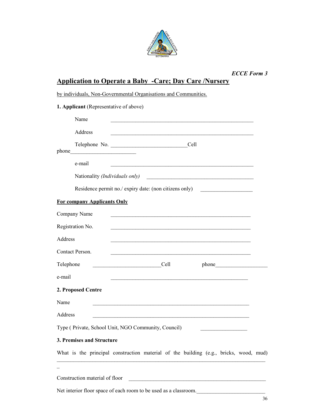

|                                        |                                    | <b>ECCE Form 3</b>                                                                                                                                                                                                                   |  |  |  |  |  |
|----------------------------------------|------------------------------------|--------------------------------------------------------------------------------------------------------------------------------------------------------------------------------------------------------------------------------------|--|--|--|--|--|
|                                        |                                    | <b>Application to Operate a Baby -Care; Day Care /Nursery</b><br>by individuals, Non-Governmental Organisations and Communities.                                                                                                     |  |  |  |  |  |
|                                        |                                    |                                                                                                                                                                                                                                      |  |  |  |  |  |
| 1. Applicant (Representative of above) |                                    |                                                                                                                                                                                                                                      |  |  |  |  |  |
|                                        | Name                               | <u> 1989 - Johann Stoff, amerikansk politiker (d. 1989)</u>                                                                                                                                                                          |  |  |  |  |  |
|                                        | Address                            |                                                                                                                                                                                                                                      |  |  |  |  |  |
|                                        |                                    |                                                                                                                                                                                                                                      |  |  |  |  |  |
|                                        | e-mail                             |                                                                                                                                                                                                                                      |  |  |  |  |  |
|                                        | Nationality (Individuals only)     | <u> 2000 - Johann Johann Johann Johann Johann Johann Johann Johann Johann Johann Johann Johann Johann Johann Johann Johann Johann Johann Johann Johann Johann Johann Johann Johann Johann Johann Johann Johann Johann Johann Joh</u> |  |  |  |  |  |
|                                        |                                    | Residence permit no./ expiry date: (non citizens only)                                                                                                                                                                               |  |  |  |  |  |
|                                        | <b>For company Applicants Only</b> |                                                                                                                                                                                                                                      |  |  |  |  |  |
|                                        | Company Name                       |                                                                                                                                                                                                                                      |  |  |  |  |  |
|                                        | Registration No.                   | <u> 1989 - Johann Stoff, amerikansk politiker (d. 1989)</u>                                                                                                                                                                          |  |  |  |  |  |
| Address                                |                                    |                                                                                                                                                                                                                                      |  |  |  |  |  |
|                                        | Contact Person.                    |                                                                                                                                                                                                                                      |  |  |  |  |  |
| Telephone                              |                                    | Cell<br>phone                                                                                                                                                                                                                        |  |  |  |  |  |
| e-mail                                 |                                    | <u> 1989 - Johann Stoff, amerikansk politiker (d. 1989)</u>                                                                                                                                                                          |  |  |  |  |  |
|                                        | 2. Proposed Centre                 |                                                                                                                                                                                                                                      |  |  |  |  |  |
| Name                                   |                                    |                                                                                                                                                                                                                                      |  |  |  |  |  |
| Address                                |                                    |                                                                                                                                                                                                                                      |  |  |  |  |  |
|                                        |                                    | Type (Private, School Unit, NGO Community, Council)                                                                                                                                                                                  |  |  |  |  |  |
|                                        | 3. Premises and Structure          |                                                                                                                                                                                                                                      |  |  |  |  |  |
|                                        |                                    | What is the principal construction material of the building (e.g., bricks, wood, mud)                                                                                                                                                |  |  |  |  |  |
|                                        |                                    |                                                                                                                                                                                                                                      |  |  |  |  |  |
|                                        | Construction material of floor     |                                                                                                                                                                                                                                      |  |  |  |  |  |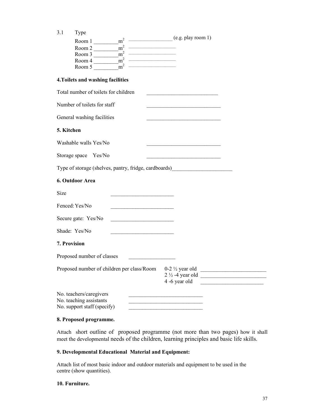| 3.1          | Type<br>Room 1 ________ m <sup>2</sup> __________________(e.g. play room 1)<br>Room 2 $\frac{m^2}{2}$<br>Room 3 $\frac{1}{\sqrt{m^2}}$<br>Room $4 \overline{\phantom{1}}$ $\overline{\phantom{1}}$ $\overline{\phantom{1}}$ $\overline{\phantom{1}}$ $\overline{\phantom{1}}$ $\overline{\phantom{1}}$ $\overline{\phantom{1}}$ $\overline{\phantom{1}}$ $\overline{\phantom{1}}$ $\overline{\phantom{1}}$ $\overline{\phantom{1}}$ $\overline{\phantom{1}}$ $\overline{\phantom{1}}$ $\overline{\phantom{1}}$ $\overline{\phantom{1}}$ $\overline{\phantom{1}}$ $\overline{\phantom{1}}$ $\overline{\phantom{1}}$<br>Room 5 $\frac{m^2}{m^2}$ |                                                                                                                                                                  |
|--------------|------------------------------------------------------------------------------------------------------------------------------------------------------------------------------------------------------------------------------------------------------------------------------------------------------------------------------------------------------------------------------------------------------------------------------------------------------------------------------------------------------------------------------------------------------------------------------------------------------------------------------------------------|------------------------------------------------------------------------------------------------------------------------------------------------------------------|
|              | 4. Toilets and washing facilities                                                                                                                                                                                                                                                                                                                                                                                                                                                                                                                                                                                                              |                                                                                                                                                                  |
|              | Total number of toilets for children                                                                                                                                                                                                                                                                                                                                                                                                                                                                                                                                                                                                           | the control of the control of the control of the control of                                                                                                      |
|              | Number of toilets for staff                                                                                                                                                                                                                                                                                                                                                                                                                                                                                                                                                                                                                    |                                                                                                                                                                  |
|              | General washing facilities                                                                                                                                                                                                                                                                                                                                                                                                                                                                                                                                                                                                                     |                                                                                                                                                                  |
| 5. Kitchen   |                                                                                                                                                                                                                                                                                                                                                                                                                                                                                                                                                                                                                                                |                                                                                                                                                                  |
|              | Washable walls Yes/No                                                                                                                                                                                                                                                                                                                                                                                                                                                                                                                                                                                                                          |                                                                                                                                                                  |
|              | Storage space Yes/No                                                                                                                                                                                                                                                                                                                                                                                                                                                                                                                                                                                                                           |                                                                                                                                                                  |
|              | Type of storage (shelves, pantry, fridge, cardboards) __________________________                                                                                                                                                                                                                                                                                                                                                                                                                                                                                                                                                               |                                                                                                                                                                  |
|              | 6. Outdoor Area                                                                                                                                                                                                                                                                                                                                                                                                                                                                                                                                                                                                                                |                                                                                                                                                                  |
| Size         |                                                                                                                                                                                                                                                                                                                                                                                                                                                                                                                                                                                                                                                |                                                                                                                                                                  |
|              | Fenced: Yes/No                                                                                                                                                                                                                                                                                                                                                                                                                                                                                                                                                                                                                                 |                                                                                                                                                                  |
|              | Secure gate: Yes/No<br><u> 1990 - Jan James James, politik eta politikar</u>                                                                                                                                                                                                                                                                                                                                                                                                                                                                                                                                                                   |                                                                                                                                                                  |
|              | Shade: Yes/No<br><u> 1990 - Johann Barbara, martxa alemaniar a</u>                                                                                                                                                                                                                                                                                                                                                                                                                                                                                                                                                                             |                                                                                                                                                                  |
| 7. Provision |                                                                                                                                                                                                                                                                                                                                                                                                                                                                                                                                                                                                                                                |                                                                                                                                                                  |
|              | Proposed number of classes<br>the control of the control of the control of                                                                                                                                                                                                                                                                                                                                                                                                                                                                                                                                                                     |                                                                                                                                                                  |
|              | Proposed number of children per class/Room 0-2 1/2 year old                                                                                                                                                                                                                                                                                                                                                                                                                                                                                                                                                                                    | <u> 1950 - Johann John Stein, markin fizik eta idazlea (</u><br>$2\frac{1}{2}$ -4 year old<br><u> 1980 - Johann Barbara, martxa alemaniar a</u><br>4 -6 year old |
|              | No. teachers/caregivers<br>No. teaching assistants<br>No. support staff (specify)                                                                                                                                                                                                                                                                                                                                                                                                                                                                                                                                                              | the control of the control of the control of the control of                                                                                                      |

### 8. Proposed programme.

Attach short outline of proposed programme (not more than two pages) how it shall meet the developmental needs of the children, learning principles and basic life skills.

#### 9. Developmental Educational Material and Equipment:

Attach list of most basic indoor and outdoor materials and equipment to be used in the centre (show quantities).

#### 10. Furniture.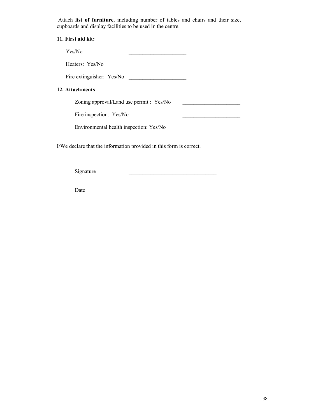Attach list of furniture, including number of tables and chairs and their size, cupboards and display facilities to be used in the centre.

#### 11. First aid kit:

Yes/No \_\_\_\_\_\_\_\_\_\_\_\_\_\_\_\_\_\_\_\_\_ Heaters: Yes/No Fire extinguisher: Yes/No 12. Attachments Zoning approval/Land use permit : Yes/No \_\_\_\_\_\_\_\_\_\_\_\_\_\_\_\_\_\_\_\_\_ Fire inspection: Yes/No Environmental health inspection: Yes/No \_\_\_\_\_\_\_\_\_\_\_\_\_\_\_\_\_\_\_\_\_

I/We declare that the information provided in this form is correct.

Signature

Date  $\Box$ 

38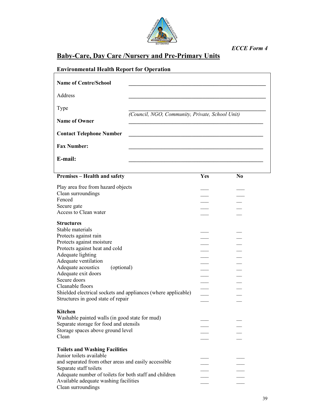

# Baby-Care, Day Care /Nursery and Pre-Primary Units

| <b>Environmental Health Report for Operation</b>         |                                                 |                |
|----------------------------------------------------------|-------------------------------------------------|----------------|
| <b>Name of Centre/School</b>                             |                                                 |                |
| Address                                                  |                                                 |                |
| Type                                                     |                                                 |                |
| <b>Name of Owner</b>                                     | (Council, NGO, Community, Private, School Unit) |                |
| <b>Contact Telephone Number</b>                          |                                                 |                |
| <b>Fax Number:</b>                                       |                                                 |                |
| E-mail:                                                  |                                                 |                |
| Premises - Health and safety                             | Yes                                             | N <sub>0</sub> |
| Play area free from hazard objects<br>Clean surroundings |                                                 |                |
| Fenced<br>Secure gate<br>Access to Clean water           |                                                 |                |
| <b>Structures</b><br>Stable materials                    |                                                 |                |
| Protects against rain<br>Protects against moisture       |                                                 |                |
| Protects against heat and cold<br>Adequate lighting      |                                                 |                |
| Adequate ventilation<br>Adequate acoustics<br>(optional) |                                                 |                |
|                                                          |                                                 |                |

| TTORORS against moisture                                      |  |
|---------------------------------------------------------------|--|
| Protects against heat and cold                                |  |
| Adequate lighting                                             |  |
| Adequate ventilation                                          |  |
| Adequate acoustics<br>(optional)                              |  |
| Adequate exit doors                                           |  |
| Secure doors                                                  |  |
| Cleanable floors                                              |  |
| Shielded electrical sockets and appliances (where applicable) |  |
| Structures in good state of repair                            |  |
|                                                               |  |
| <b>Kitchen</b>                                                |  |
| Washable painted walls (in good state for mud)                |  |
| Separate storage for food and utensils                        |  |
| Storage spaces above ground level                             |  |
| Clean                                                         |  |
|                                                               |  |
| <b>Toilets and Washing Facilities</b>                         |  |
| Junior toilets available                                      |  |
| and separated from other areas and easily accessible          |  |
| Separate staff toilets                                        |  |
| Adequate number of toilets for both staff and children        |  |
| Available adequate washing facilities                         |  |
| Clean surroundings                                            |  |
|                                                               |  |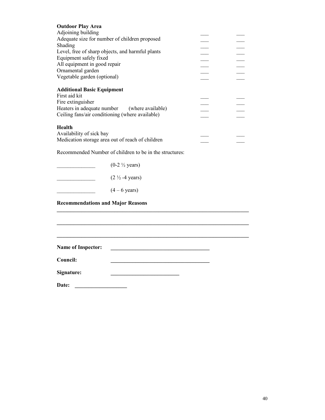| <b>Outdoor Play Area</b>                                                               |                          |
|----------------------------------------------------------------------------------------|--------------------------|
| Adjoining building                                                                     |                          |
| Adequate size for number of children proposed                                          |                          |
| Shading                                                                                |                          |
| Level, free of sharp objects, and harmful plants                                       |                          |
| Equipment safely fixed                                                                 |                          |
|                                                                                        |                          |
| All equipment in good repair                                                           | $\overline{\phantom{a}}$ |
| Ornamental garden                                                                      |                          |
| Vegetable garden (optional)                                                            |                          |
| <b>Additional Basic Equipment</b>                                                      |                          |
| First aid kit                                                                          |                          |
| Fire extinguisher                                                                      |                          |
| Heaters in adequate number (where available)                                           |                          |
| Ceiling fans/air conditioning (where available)                                        |                          |
| Health<br>Availability of sick bay<br>Medication storage area out of reach of children |                          |
|                                                                                        |                          |

\_\_\_\_\_\_\_\_\_\_\_\_\_\_\_\_\_\_\_\_\_\_\_\_\_\_\_\_\_\_\_\_\_\_\_\_\_\_\_\_\_\_\_\_\_\_\_\_\_\_\_\_\_\_\_\_\_\_\_\_\_\_\_\_\_\_\_\_\_\_

 $\_$  . The contribution of the contribution of the contribution of the contribution of  $\mathcal{L}_\mathcal{A}$ 

\_\_\_\_\_\_\_\_\_\_\_\_\_\_\_\_\_\_\_\_\_\_\_\_\_\_\_\_\_\_\_\_\_\_\_\_\_\_\_\_\_\_\_\_\_\_\_\_\_\_\_\_\_\_\_\_\_\_\_\_\_\_\_\_\_\_\_\_\_\_

Recommended Number of children to be in the structures:

 $(0-2 \frac{1}{2} \text{ years})$ 

 $(2 \frac{1}{2} - 4 \text{ years})$ 

 $(4 - 6 \text{ years})$ 

Recommendations and Major Reasons

Name of Inspector: \_\_\_\_\_\_\_\_\_\_\_\_\_\_\_\_\_\_\_\_\_\_\_\_\_\_\_\_\_\_\_\_\_\_\_\_

Council:

Signature: \_\_\_\_\_\_\_\_\_\_\_\_\_\_\_\_\_\_\_\_\_\_\_\_\_

Date: \_\_\_\_\_\_\_\_\_\_\_\_\_\_\_\_\_\_\_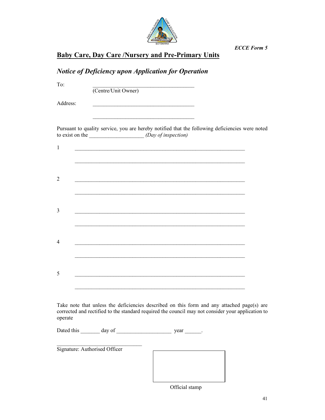

| <b>Baby Care, Day Care /Nursery and Pre-Primary Units</b> |
|-----------------------------------------------------------|
|-----------------------------------------------------------|

|                | <b>Notice of Deficiency upon Application for Operation</b>                                                                                                                                                                           |  |
|----------------|--------------------------------------------------------------------------------------------------------------------------------------------------------------------------------------------------------------------------------------|--|
| To:            | (Centre/Unit Owner)                                                                                                                                                                                                                  |  |
| Address:       | <u> 1980 - Johann Stoff, deutscher Stoffen und der Stoffen und der Stoffen und der Stoffen und der Stoffen und der Stoffen und der Stoffen und der Stoffen und der Stoffen und der Stoffen und der Stoffen und der Stoffen und d</u> |  |
|                | Pursuant to quality service, you are hereby notified that the following deficiencies were noted                                                                                                                                      |  |
| $\mathbf{1}$   |                                                                                                                                                                                                                                      |  |
| 2              | <u> 1980 - Jan James James James James James James James James James James James James James James James James J</u>                                                                                                                 |  |
| 3              |                                                                                                                                                                                                                                      |  |
|                |                                                                                                                                                                                                                                      |  |
| $\overline{4}$ |                                                                                                                                                                                                                                      |  |
| 5              |                                                                                                                                                                                                                                      |  |
|                |                                                                                                                                                                                                                                      |  |
| operate        | Take note that unless the deficiencies described on this form and any attached page(s) are<br>corrected and rectified to the standard required the council may not consider your application to                                      |  |
|                |                                                                                                                                                                                                                                      |  |

| Signature: Authorised Officer |  |  |
|-------------------------------|--|--|
|                               |  |  |
|                               |  |  |
|                               |  |  |
|                               |  |  |

Official stamp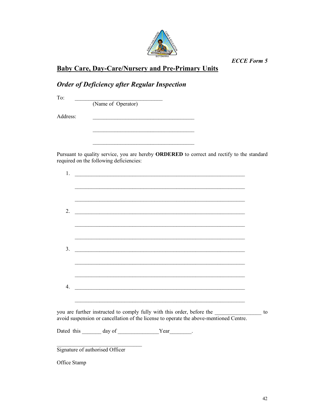

Baby Care, Day-Care/Nursery and Pre-Primary Units

 $\overline{\phantom{a}}$  ,  $\overline{\phantom{a}}$  ,  $\overline{\phantom{a}}$  ,  $\overline{\phantom{a}}$  ,  $\overline{\phantom{a}}$  ,  $\overline{\phantom{a}}$  ,  $\overline{\phantom{a}}$  ,  $\overline{\phantom{a}}$  ,  $\overline{\phantom{a}}$  ,  $\overline{\phantom{a}}$  ,  $\overline{\phantom{a}}$  ,  $\overline{\phantom{a}}$  ,  $\overline{\phantom{a}}$  ,  $\overline{\phantom{a}}$  ,  $\overline{\phantom{a}}$  ,  $\overline{\phantom{a}}$ 

# Order of Deficiency after Regular Inspection

To:  $\qquad \qquad$ 

(Name of Operator)

Address: \_\_\_\_\_\_\_\_\_\_\_\_\_\_\_\_\_\_\_\_\_\_\_\_\_\_\_\_\_\_\_\_\_\_\_\_\_

Pursuant to quality service, you are hereby ORDERED to correct and rectify to the standard required on the following deficiencies:

|                                                                                                                      |  | <u> 1989 - Johann John Stoff, deutscher Stoffen und der Stoffen und der Stoffen und der Stoffen und der Stoffen</u> |  |
|----------------------------------------------------------------------------------------------------------------------|--|---------------------------------------------------------------------------------------------------------------------|--|
| <u> 1989 - Johann Stoff, amerikansk politiker (d. 1989)</u>                                                          |  |                                                                                                                     |  |
| <u> 1989 - Jan James James James James James James James James James James James James James James James James J</u> |  |                                                                                                                     |  |
| <u> 1989 - Johann Stoff, amerikansk politiker (d. 1989)</u>                                                          |  |                                                                                                                     |  |
|                                                                                                                      |  |                                                                                                                     |  |
|                                                                                                                      |  |                                                                                                                     |  |
|                                                                                                                      |  |                                                                                                                     |  |
|                                                                                                                      |  |                                                                                                                     |  |

Dated this \_\_\_\_\_\_\_ day of \_\_\_\_\_\_\_\_\_\_\_\_\_\_\_Year\_\_\_\_\_\_\_.

\_\_\_\_\_\_\_\_\_\_\_\_\_\_\_\_\_\_\_\_\_\_\_\_\_\_\_\_\_\_\_ Signature of authorised Officer

Office Stamp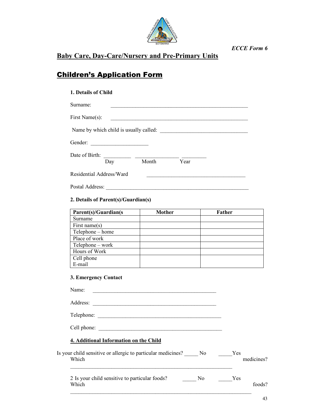

# Baby Care, Day-Care/Nursery and Pre-Primary Units

# Children's Application Form

## 1. Details of Child

| Surname:                                                    |       |      |  |
|-------------------------------------------------------------|-------|------|--|
| First Name(s):                                              |       |      |  |
| Name by which child is usually called:                      |       |      |  |
| Gender:<br>the control of the control of the control of the |       |      |  |
| Date of Birth:                                              |       |      |  |
| Day                                                         | Month | Year |  |
| Residential Address/Ward                                    |       |      |  |
| Postal Address:                                             |       |      |  |

# 2. Details of Parent(s)/Guardian(s)

| Parent(s)/Guardian(s | Mother | Father |
|----------------------|--------|--------|
| Surname              |        |        |
| First name $(s)$     |        |        |
| Telephone – home     |        |        |
| Place of work        |        |        |
| Telephone – work     |        |        |
| Hours of Work        |        |        |
| Cell phone           |        |        |
| E-mail               |        |        |

# 3. Emergency Contact

| Name:                                                                    |                                   |
|--------------------------------------------------------------------------|-----------------------------------|
|                                                                          |                                   |
| Telephone:                                                               |                                   |
| Cell phone:                                                              |                                   |
| 4. Additional Information on the Child                                   |                                   |
| Is your child sensitive or allergic to particular medicines? No<br>Which | <b>Exercise</b> Yes<br>medicines? |
| 2 Is your child sensitive to particular foods?<br>No.<br>Which           | Yes<br>foods?                     |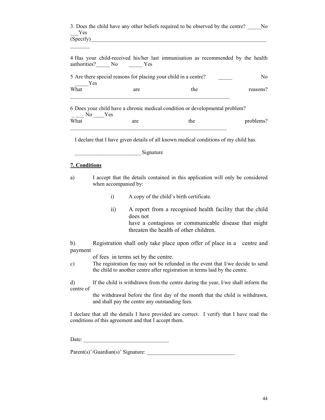| 3. Does the child have any other beliefs required to be observed by the centre? | No. |
|---------------------------------------------------------------------------------|-----|
| Yes                                                                             |     |
| (Specify)                                                                       |     |

| authorities? No | 4 Has your child-received his/her last immunisation as recommended by the health<br><b>Solution</b> Yes |     |          |
|-----------------|---------------------------------------------------------------------------------------------------------|-----|----------|
| Yes             | 5 Are there special reasons for placing your child in a centre?                                         |     | No.      |
| What            | are                                                                                                     | the | reasons? |
| No l            | 6 Does your child have a chronic medical condition or developmental problem?<br><b>S</b> Yes            |     |          |

What are the problems? \_\_\_\_\_\_\_\_\_\_\_\_\_\_\_\_\_\_\_\_\_\_\_\_\_\_\_\_\_\_\_\_\_\_\_\_\_\_\_\_\_\_\_\_\_\_\_\_\_\_\_\_\_\_\_\_\_

I declare that I have given details of all known medical conditions of my child has.

\_\_\_\_\_\_\_\_\_\_\_\_\_\_\_\_\_\_\_\_\_\_\_\_ Signature

#### 7. Conditions

 $\frac{1}{2}$ 

- a) I accept that the details contained in this application will only be considered when accompanied by:
	- i) A copy of the child's birth certificate.
	- ii) A report from a recognised health facility that the child does not have a contagious or communicable disease that might threaten the health of other children.

b) Registration shall only take place upon offer of place in a centre and payment

of fees in terms set by the centre.

c) The registration fee may not be refunded in the event that I/we decide to send the child to another centre after registration in terms laid by the centre.

d) If the child is withdrawn from the centre during the year, I/we shall inform the centre of

> the withdrawal before the first day of the month that the child is withdrawn, and shall pay the centre any outstanding fees.

I declare that all the details I have provided are correct. I verify that I have read the conditions of this agreement and that I accept them.

Date:

Parent(s)'/Guardian(s)' Signature: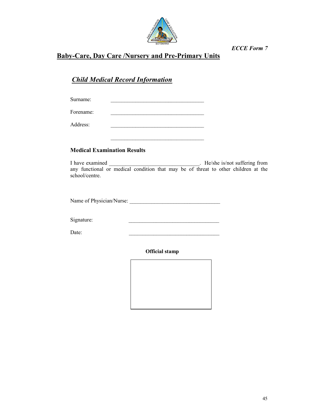

# Baby-Care, Day Care /Nursery and Pre-Primary Units

# Child Medical Record Information

Surname: Forename: Address: \_\_\_\_\_\_\_\_\_\_\_\_\_\_\_\_\_\_\_\_\_\_\_\_\_\_\_\_\_\_\_\_\_\_

## Medical Examination Results

I have examined \_\_\_\_\_\_\_\_\_\_\_\_\_\_\_\_\_\_\_\_\_\_\_\_\_\_\_\_\_\_\_\_\_\_. He/she is/not suffering from any functional or medical condition that may be of threat to other children at the school/centre.

\_\_\_\_\_\_\_\_\_\_\_\_\_\_\_\_\_\_\_\_\_\_\_\_\_\_\_\_\_\_\_\_\_\_

Name of Physician/Nurse:

Signature:

Date:

Official stamp

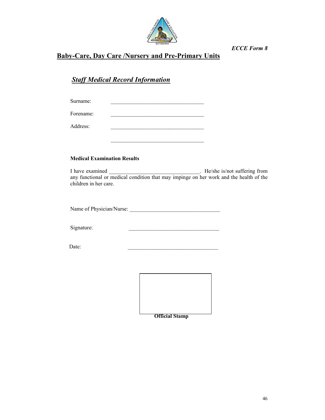

# Baby-Care, Day Care /Nursery and Pre-Primary Units

# **Staff Medical Record Information**

| Surname:  |  |
|-----------|--|
| Forename: |  |
| Address:  |  |
|           |  |

### Medical Examination Results

I have examined \_\_\_\_\_\_\_\_\_\_\_\_\_\_\_\_\_\_\_\_\_\_\_\_\_\_\_\_\_\_\_. He/she is/not suffering from any functional or medical condition that may impinge on her work and the health of the children in her care.

Name of Physician/Nurse:

Signature:

Date:

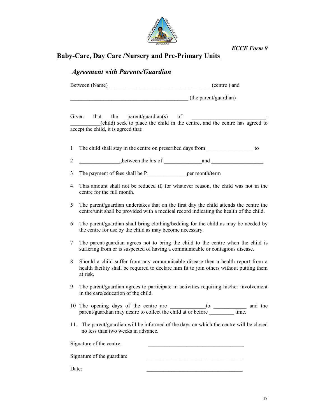

# Baby-Care, Day Care /Nursery and Pre-Primary Units

# Agreement with Parents/Guardian

Between (Name)  $\qquad \qquad$  (centre ) and

 $($ the parent/guardian $)$ 

Given that the parent/guardian(s) of \_\_\_\_\_\_\_\_\_\_\_(child) seek to place the child in the centre, and the centre has agreed to accept the child, it is agreed that:

- 1 The child shall stay in the centre on prescribed days from to
- 2 between the hrs of and  $\overline{a}$
- 3 The payment of fees shall be P per month/term
- 4 This amount shall not be reduced if, for whatever reason, the child was not in the centre for the full month.
- 5 The parent/guardian undertakes that on the first day the child attends the centre the centre/unit shall be provided with a medical record indicating the health of the child.
- 6 The parent/guardian shall bring clothing/bedding for the child as may be needed by the centre for use by the child as may become necessary.
- 7 The parent/guardian agrees not to bring the child to the centre when the child is suffering from or is suspected of having a communicable or contagious disease.
- 8 Should a child suffer from any communicable disease then a health report from a health facility shall be required to declare him fit to join others without putting them at risk.
- 9 The parent/guardian agrees to participate in activities requiring his/her involvement in the care/education of the child.
- 10 The opening days of the centre are \_\_\_\_\_\_\_\_\_\_\_\_\_\_\_to \_\_\_\_\_\_\_\_\_\_\_\_\_\_ and the parent/guardian may desire to collect the child at or before \_\_\_\_\_\_\_\_\_\_ time.
- 11. The parent/guardian will be informed of the days on which the centre will be closed no less than two weeks in advance.

Signature of the centre: Signature of the guardian:

Date: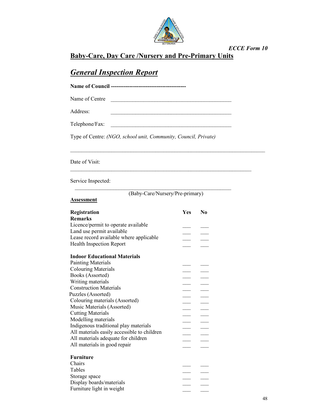

Baby-Care, Day Care /Nursery and Pre-Primary Units

# **General Inspection Report**

Name of Council -----------------------------------------

Name of Centre

Address: \_\_\_\_\_\_\_\_\_\_\_\_\_\_\_\_\_\_\_\_\_\_\_\_\_\_\_\_\_\_\_\_\_\_\_\_\_\_\_\_\_\_\_\_

Telephone/Fax:

Type of Centre: (NGO, school unit, Community, Council, Private)

Date of Visit:

Service Inspected:

| (Baby-Care/Nursery/Pre-primary) |
|---------------------------------|

\_\_\_\_\_\_\_\_\_\_\_\_\_\_\_\_\_\_\_\_\_\_\_\_\_\_\_\_\_\_\_\_\_\_\_\_\_\_\_\_\_\_\_\_\_\_\_\_\_\_\_\_\_\_\_\_\_\_\_\_\_\_\_\_\_\_

 $\_$  , and the set of the set of the set of the set of the set of the set of the set of the set of the set of the set of the set of the set of the set of the set of the set of the set of the set of the set of the set of th

| Assessment |  |
|------------|--|
|------------|--|

| Registration                                | <b>Yes</b> | N <sub>0</sub> |
|---------------------------------------------|------------|----------------|
| <b>Remarks</b>                              |            |                |
| Licence/permit to operate available         |            |                |
| Land use permit available                   |            |                |
| Lease record available where applicable     |            |                |
| <b>Health Inspection Report</b>             |            |                |
| <b>Indoor Educational Materials</b>         |            |                |
| <b>Painting Materials</b>                   |            |                |
| <b>Colouring Materials</b>                  |            |                |
| Books (Assorted)                            |            |                |
| Writing materials                           |            |                |
| <b>Construction Materials</b>               |            |                |
| Puzzles (Assorted)                          |            |                |
| Colouring materials (Assorted)              |            |                |
| Music Materials (Assorted)                  |            |                |
| <b>Cutting Materials</b>                    |            |                |
| Modelling materials                         |            |                |
| Indigenous traditional play materials       |            |                |
| All materials easily accessible to children |            |                |
| All materials adequate for children         |            |                |
| All materials in good repair                |            |                |
|                                             |            |                |
| <b>Furniture</b>                            |            |                |
| Chairs                                      |            |                |
| Tables                                      |            |                |
| Storage space                               |            |                |
| Display boards/materials                    |            |                |
| Furniture light in weight                   |            |                |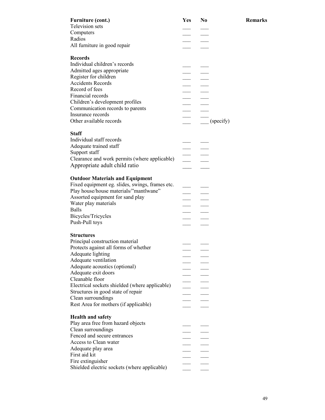| <b>Furniture (cont.)</b>                        | Yes                      | N <sub>0</sub>     |
|-------------------------------------------------|--------------------------|--------------------|
| <b>Television</b> sets                          |                          |                    |
| Computers                                       |                          |                    |
| Radios                                          |                          |                    |
| All furniture in good repair                    |                          |                    |
| <b>Records</b>                                  |                          |                    |
| Individual children's records                   |                          |                    |
| Admitted ages appropriate                       |                          |                    |
| Register for children                           |                          |                    |
| <b>Accidents Records</b>                        |                          |                    |
| Record of fees                                  |                          |                    |
| Financial records                               |                          |                    |
| Children's development profiles                 |                          |                    |
| Communication records to parents                |                          |                    |
| Insurance records                               |                          |                    |
| Other available records                         |                          | $\qquad$ (specify) |
|                                                 |                          |                    |
| <b>Staff</b>                                    |                          |                    |
| Individual staff records                        |                          |                    |
| Adequate trained staff                          |                          |                    |
| Support staff                                   |                          |                    |
| Clearance and work permits (where applicable)   |                          |                    |
| Appropriate adult child ratio                   |                          |                    |
|                                                 |                          |                    |
| <b>Outdoor Materials and Equipment</b>          |                          |                    |
| Fixed equipment eg. slides, swings, frames etc. |                          |                    |
| Play house/house materials/"mantlwane"          |                          |                    |
| Assorted equipment for sand play                |                          |                    |
| Water play materials                            |                          |                    |
| <b>Balls</b>                                    |                          |                    |
| Bicycles/Tricycles                              |                          |                    |
| Push-Pull toys                                  |                          |                    |
|                                                 |                          |                    |
| <b>Structures</b>                               |                          |                    |
| Principal construction material                 |                          |                    |
| Protects against all forms of whether           |                          |                    |
| Adequate lighting                               |                          |                    |
| Adequate ventilation                            |                          |                    |
| Adequate acoustics (optional)                   |                          |                    |
| Adequate exit doors                             |                          |                    |
| Cleanable floor                                 |                          |                    |
| Electrical sockets shielded (where applicable)  |                          |                    |
| Structures in good state of repair              |                          |                    |
| Clean surroundings                              |                          |                    |
| Rest Area for mothers (if applicable)           |                          |                    |
| <b>Health and safety</b>                        |                          |                    |
| Play area free from hazard objects              |                          |                    |
| Clean surroundings                              |                          |                    |
| Fenced and secure entrances                     |                          |                    |
| Access to Clean water                           | $\overline{\phantom{a}}$ |                    |
| Adequate play area                              |                          |                    |
| First aid kit                                   |                          |                    |
| Fire extinguisher                               |                          |                    |
| Shielded electric sockets (where applicable)    |                          |                    |
|                                                 |                          |                    |

**Remarks**